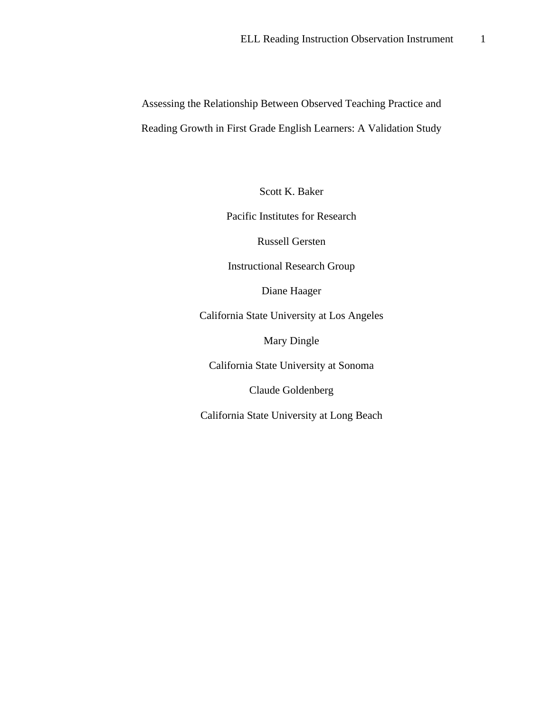Assessing the Relationship Between Observed Teaching Practice and Reading Growth in First Grade English Learners: A Validation Study

Scott K. Baker

Pacific Institutes for Research

Russell Gersten

Instructional Research Group

Diane Haager

California State University at Los Angeles

Mary Dingle

California State University at Sonoma

Claude Goldenberg

California State University at Long Beach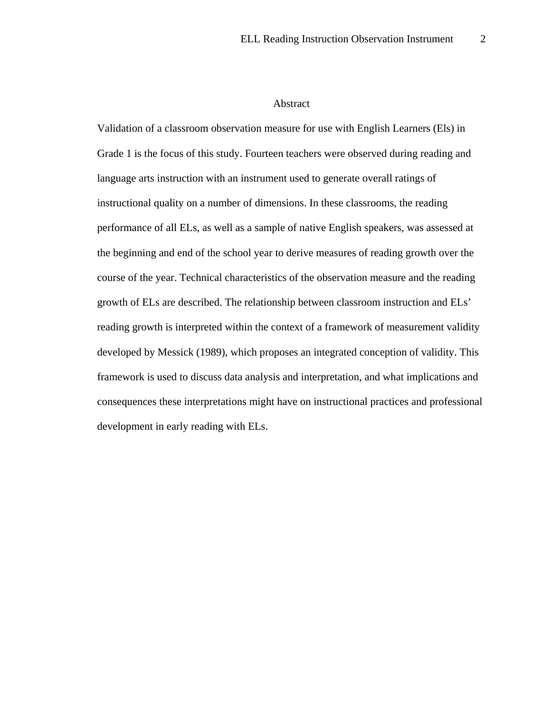## Abstract

Validation of a classroom observation measure for use with English Learners (Els) in Grade 1 is the focus of this study. Fourteen teachers were observed during reading and language arts instruction with an instrument used to generate overall ratings of instructional quality on a number of dimensions. In these classrooms, the reading performance of all ELs, as well as a sample of native English speakers, was assessed at the beginning and end of the school year to derive measures of reading growth over the course of the year. Technical characteristics of the observation measure and the reading growth of ELs are described. The relationship between classroom instruction and ELs' reading growth is interpreted within the context of a framework of measurement validity developed by Messick (1989), which proposes an integrated conception of validity. This framework is used to discuss data analysis and interpretation, and what implications and consequences these interpretations might have on instructional practices and professional development in early reading with ELs.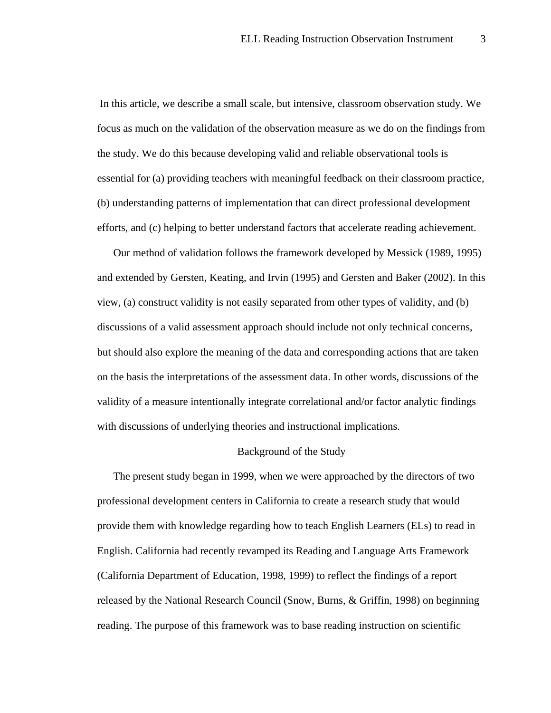In this article, we describe a small scale, but intensive, classroom observation study. We focus as much on the validation of the observation measure as we do on the findings from the study. We do this because developing valid and reliable observational tools is essential for (a) providing teachers with meaningful feedback on their classroom practice, (b) understanding patterns of implementation that can direct professional development efforts, and (c) helping to better understand factors that accelerate reading achievement.

Our method of validation follows the framework developed by Messick (1989, 1995) and extended by Gersten, Keating, and Irvin (1995) and Gersten and Baker (2002). In this view, (a) construct validity is not easily separated from other types of validity, and (b) discussions of a valid assessment approach should include not only technical concerns, but should also explore the meaning of the data and corresponding actions that are taken on the basis the interpretations of the assessment data. In other words, discussions of the validity of a measure intentionally integrate correlational and/or factor analytic findings with discussions of underlying theories and instructional implications.

#### Background of the Study

The present study began in 1999, when we were approached by the directors of two professional development centers in California to create a research study that would provide them with knowledge regarding how to teach English Learners (ELs) to read in English. California had recently revamped its Reading and Language Arts Framework (California Department of Education, 1998, 1999) to reflect the findings of a report released by the National Research Council (Snow, Burns, & Griffin, 1998) on beginning reading. The purpose of this framework was to base reading instruction on scientific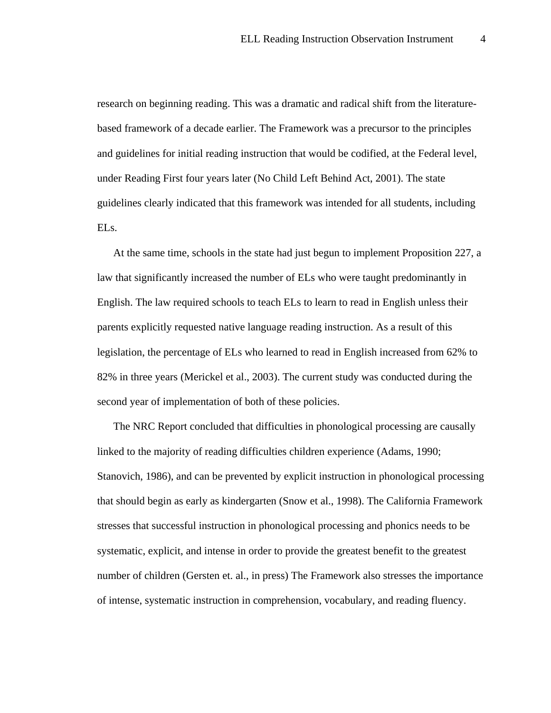research on beginning reading. This was a dramatic and radical shift from the literaturebased framework of a decade earlier. The Framework was a precursor to the principles and guidelines for initial reading instruction that would be codified, at the Federal level, under Reading First four years later (No Child Left Behind Act, 2001). The state guidelines clearly indicated that this framework was intended for all students, including ELs.

At the same time, schools in the state had just begun to implement Proposition 227, a law that significantly increased the number of ELs who were taught predominantly in English. The law required schools to teach ELs to learn to read in English unless their parents explicitly requested native language reading instruction. As a result of this legislation, the percentage of ELs who learned to read in English increased from 62% to 82% in three years (Merickel et al., 2003). The current study was conducted during the second year of implementation of both of these policies.

The NRC Report concluded that difficulties in phonological processing are causally linked to the majority of reading difficulties children experience (Adams, 1990; Stanovich, 1986), and can be prevented by explicit instruction in phonological processing that should begin as early as kindergarten (Snow et al., 1998). The California Framework stresses that successful instruction in phonological processing and phonics needs to be systematic, explicit, and intense in order to provide the greatest benefit to the greatest number of children (Gersten et. al., in press) The Framework also stresses the importance of intense, systematic instruction in comprehension, vocabulary, and reading fluency.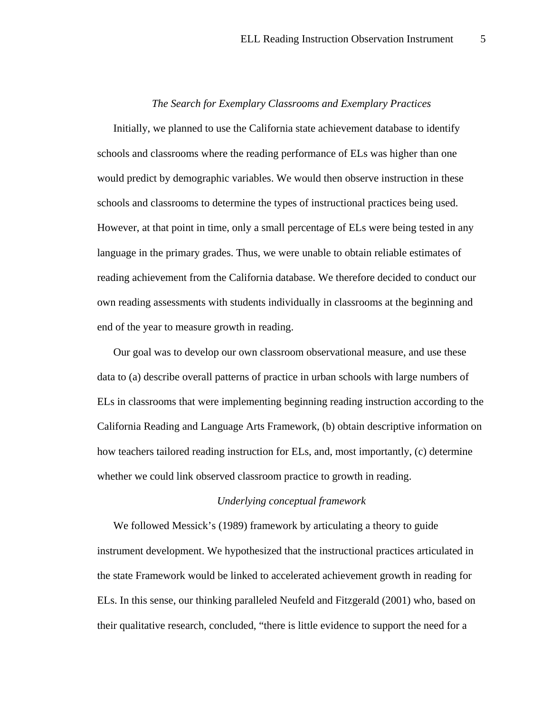## *The Search for Exemplary Classrooms and Exemplary Practices*

Initially, we planned to use the California state achievement database to identify schools and classrooms where the reading performance of ELs was higher than one would predict by demographic variables. We would then observe instruction in these schools and classrooms to determine the types of instructional practices being used. However, at that point in time, only a small percentage of ELs were being tested in any language in the primary grades. Thus, we were unable to obtain reliable estimates of reading achievement from the California database. We therefore decided to conduct our own reading assessments with students individually in classrooms at the beginning and end of the year to measure growth in reading.

Our goal was to develop our own classroom observational measure, and use these data to (a) describe overall patterns of practice in urban schools with large numbers of ELs in classrooms that were implementing beginning reading instruction according to the California Reading and Language Arts Framework, (b) obtain descriptive information on how teachers tailored reading instruction for ELs, and, most importantly, (c) determine whether we could link observed classroom practice to growth in reading.

## *Underlying conceptual framework*

We followed Messick's (1989) framework by articulating a theory to guide instrument development. We hypothesized that the instructional practices articulated in the state Framework would be linked to accelerated achievement growth in reading for ELs. In this sense, our thinking paralleled Neufeld and Fitzgerald (2001) who, based on their qualitative research, concluded, "there is little evidence to support the need for a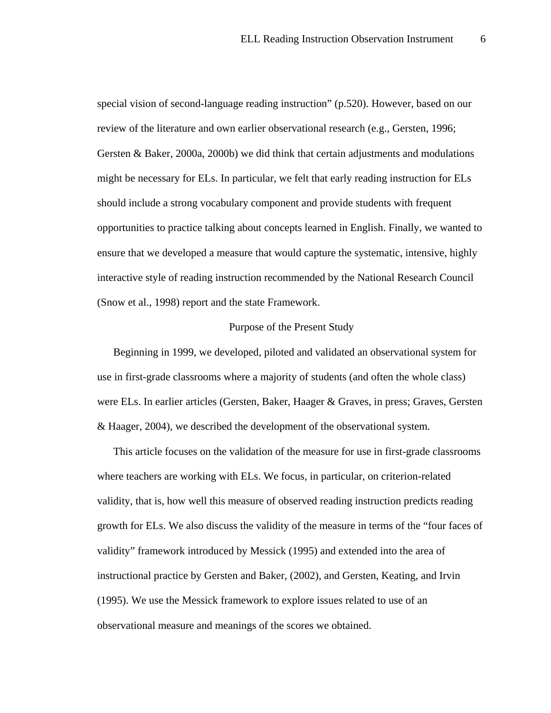special vision of second-language reading instruction" (p.520). However, based on our review of the literature and own earlier observational research (e.g., Gersten, 1996; Gersten & Baker, 2000a, 2000b) we did think that certain adjustments and modulations might be necessary for ELs. In particular, we felt that early reading instruction for ELs should include a strong vocabulary component and provide students with frequent opportunities to practice talking about concepts learned in English. Finally, we wanted to ensure that we developed a measure that would capture the systematic, intensive, highly interactive style of reading instruction recommended by the National Research Council (Snow et al., 1998) report and the state Framework.

#### Purpose of the Present Study

Beginning in 1999, we developed, piloted and validated an observational system for use in first-grade classrooms where a majority of students (and often the whole class) were ELs. In earlier articles (Gersten, Baker, Haager & Graves, in press; Graves, Gersten & Haager, 2004), we described the development of the observational system.

This article focuses on the validation of the measure for use in first-grade classrooms where teachers are working with ELs. We focus, in particular, on criterion-related validity, that is, how well this measure of observed reading instruction predicts reading growth for ELs. We also discuss the validity of the measure in terms of the "four faces of validity" framework introduced by Messick (1995) and extended into the area of instructional practice by Gersten and Baker, (2002), and Gersten, Keating, and Irvin (1995). We use the Messick framework to explore issues related to use of an observational measure and meanings of the scores we obtained.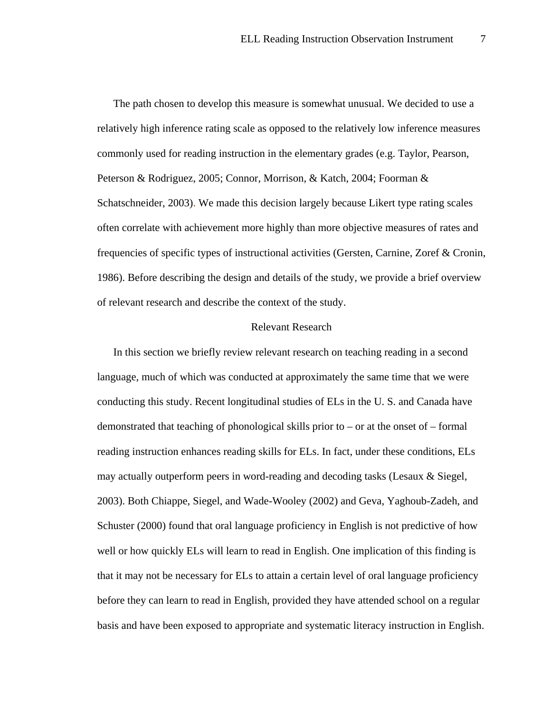The path chosen to develop this measure is somewhat unusual. We decided to use a relatively high inference rating scale as opposed to the relatively low inference measures commonly used for reading instruction in the elementary grades (e.g. Taylor, Pearson, Peterson & Rodriguez, 2005; Connor, Morrison, & Katch, 2004; Foorman & Schatschneider, 2003). We made this decision largely because Likert type rating scales often correlate with achievement more highly than more objective measures of rates and frequencies of specific types of instructional activities (Gersten, Carnine, Zoref & Cronin, 1986). Before describing the design and details of the study, we provide a brief overview of relevant research and describe the context of the study.

# Relevant Research

In this section we briefly review relevant research on teaching reading in a second language, much of which was conducted at approximately the same time that we were conducting this study. Recent longitudinal studies of ELs in the U. S. and Canada have demonstrated that teaching of phonological skills prior to – or at the onset of – formal reading instruction enhances reading skills for ELs. In fact, under these conditions, ELs may actually outperform peers in word-reading and decoding tasks (Lesaux & Siegel, 2003). Both Chiappe, Siegel, and Wade-Wooley (2002) and Geva, Yaghoub-Zadeh, and Schuster (2000) found that oral language proficiency in English is not predictive of how well or how quickly ELs will learn to read in English. One implication of this finding is that it may not be necessary for ELs to attain a certain level of oral language proficiency before they can learn to read in English, provided they have attended school on a regular basis and have been exposed to appropriate and systematic literacy instruction in English.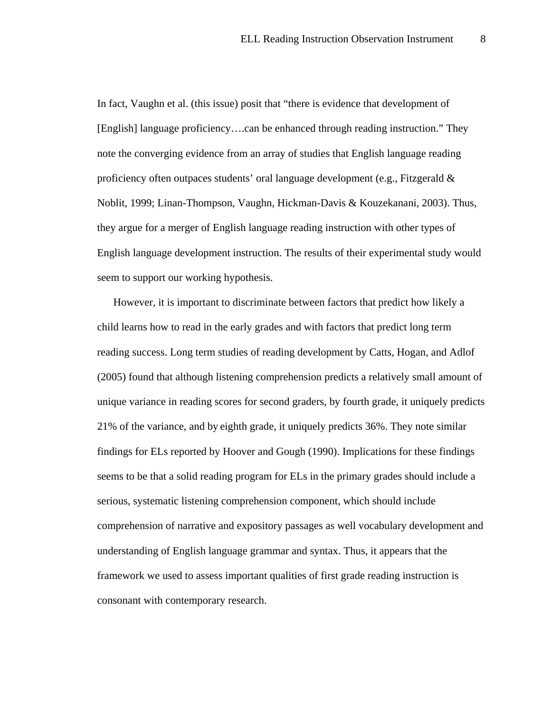In fact, Vaughn et al. (this issue) posit that "there is evidence that development of [English] language proficiency….can be enhanced through reading instruction." They note the converging evidence from an array of studies that English language reading proficiency often outpaces students' oral language development (e.g., Fitzgerald & Noblit, 1999; Linan-Thompson, Vaughn, Hickman-Davis & Kouzekanani, 2003). Thus, they argue for a merger of English language reading instruction with other types of English language development instruction. The results of their experimental study would seem to support our working hypothesis.

However, it is important to discriminate between factors that predict how likely a child learns how to read in the early grades and with factors that predict long term reading success. Long term studies of reading development by Catts, Hogan, and Adlof (2005) found that although listening comprehension predicts a relatively small amount of unique variance in reading scores for second graders, by fourth grade, it uniquely predicts 21% of the variance, and by eighth grade, it uniquely predicts 36%. They note similar findings for ELs reported by Hoover and Gough (1990). Implications for these findings seems to be that a solid reading program for ELs in the primary grades should include a serious, systematic listening comprehension component, which should include comprehension of narrative and expository passages as well vocabulary development and understanding of English language grammar and syntax. Thus, it appears that the framework we used to assess important qualities of first grade reading instruction is consonant with contemporary research.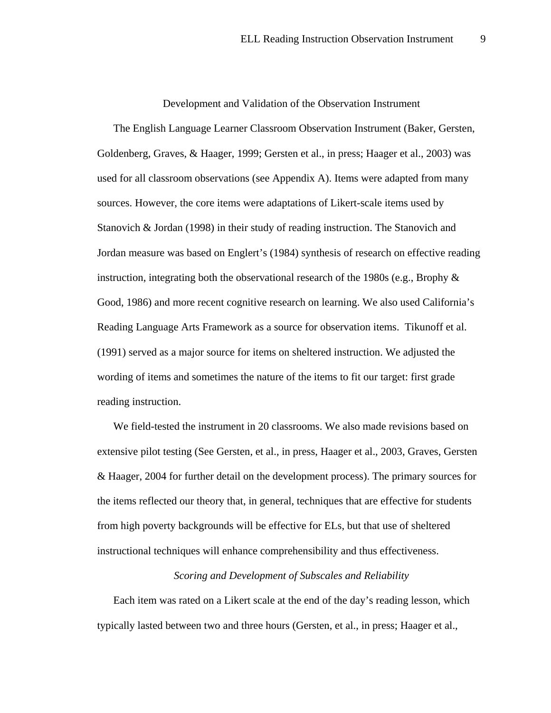Development and Validation of the Observation Instrument

The English Language Learner Classroom Observation Instrument (Baker, Gersten, Goldenberg, Graves, & Haager, 1999; Gersten et al., in press; Haager et al., 2003) was used for all classroom observations (see Appendix A). Items were adapted from many sources. However, the core items were adaptations of Likert-scale items used by Stanovich & Jordan (1998) in their study of reading instruction. The Stanovich and Jordan measure was based on Englert's (1984) synthesis of research on effective reading instruction, integrating both the observational research of the 1980s (e.g., Brophy & Good, 1986) and more recent cognitive research on learning. We also used California's Reading Language Arts Framework as a source for observation items. Tikunoff et al. (1991) served as a major source for items on sheltered instruction. We adjusted the wording of items and sometimes the nature of the items to fit our target: first grade reading instruction.

We field-tested the instrument in 20 classrooms. We also made revisions based on extensive pilot testing (See Gersten, et al., in press, Haager et al., 2003, Graves, Gersten & Haager, 2004 for further detail on the development process). The primary sources for the items reflected our theory that, in general, techniques that are effective for students from high poverty backgrounds will be effective for ELs, but that use of sheltered instructional techniques will enhance comprehensibility and thus effectiveness.

# *Scoring and Development of Subscales and Reliability*

Each item was rated on a Likert scale at the end of the day's reading lesson, which typically lasted between two and three hours (Gersten, et al., in press; Haager et al.,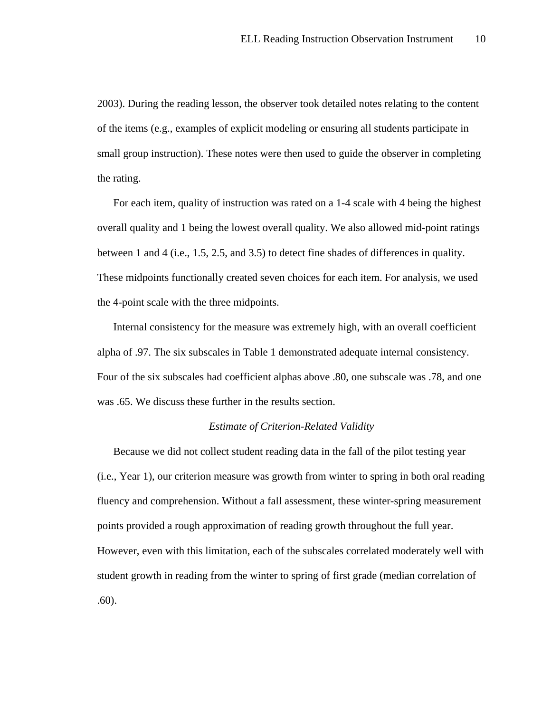2003). During the reading lesson, the observer took detailed notes relating to the content of the items (e.g., examples of explicit modeling or ensuring all students participate in small group instruction). These notes were then used to guide the observer in completing the rating.

For each item, quality of instruction was rated on a 1-4 scale with 4 being the highest overall quality and 1 being the lowest overall quality. We also allowed mid-point ratings between 1 and 4 (i.e., 1.5, 2.5, and 3.5) to detect fine shades of differences in quality. These midpoints functionally created seven choices for each item. For analysis, we used the 4-point scale with the three midpoints.

Internal consistency for the measure was extremely high, with an overall coefficient alpha of .97. The six subscales in Table 1 demonstrated adequate internal consistency. Four of the six subscales had coefficient alphas above .80, one subscale was .78, and one was .65. We discuss these further in the results section.

## *Estimate of Criterion-Related Validity*

Because we did not collect student reading data in the fall of the pilot testing year (i.e., Year 1), our criterion measure was growth from winter to spring in both oral reading fluency and comprehension. Without a fall assessment, these winter-spring measurement points provided a rough approximation of reading growth throughout the full year. However, even with this limitation, each of the subscales correlated moderately well with student growth in reading from the winter to spring of first grade (median correlation of .60).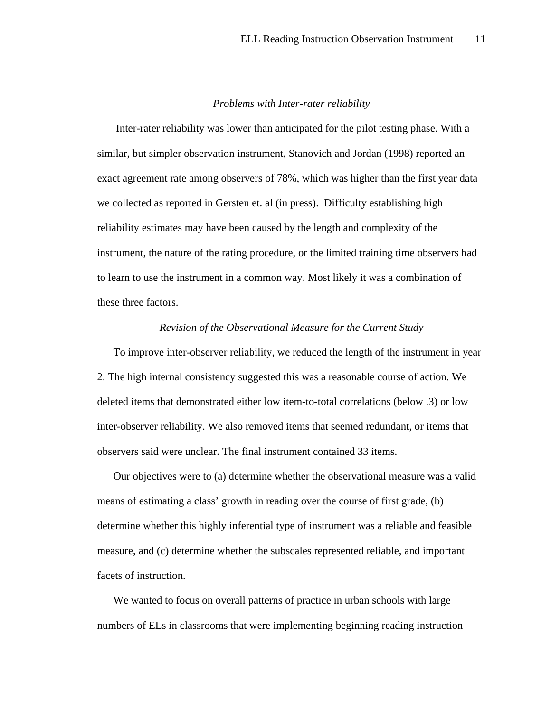#### *Problems with Inter-rater reliability*

Inter-rater reliability was lower than anticipated for the pilot testing phase. With a similar, but simpler observation instrument, Stanovich and Jordan (1998) reported an exact agreement rate among observers of 78%, which was higher than the first year data we collected as reported in Gersten et. al (in press). Difficulty establishing high reliability estimates may have been caused by the length and complexity of the instrument, the nature of the rating procedure, or the limited training time observers had to learn to use the instrument in a common way. Most likely it was a combination of these three factors.

# *Revision of the Observational Measure for the Current Study*

To improve inter-observer reliability, we reduced the length of the instrument in year 2. The high internal consistency suggested this was a reasonable course of action. We deleted items that demonstrated either low item-to-total correlations (below .3) or low inter-observer reliability. We also removed items that seemed redundant, or items that observers said were unclear. The final instrument contained 33 items.

Our objectives were to (a) determine whether the observational measure was a valid means of estimating a class' growth in reading over the course of first grade, (b) determine whether this highly inferential type of instrument was a reliable and feasible measure, and (c) determine whether the subscales represented reliable, and important facets of instruction.

We wanted to focus on overall patterns of practice in urban schools with large numbers of ELs in classrooms that were implementing beginning reading instruction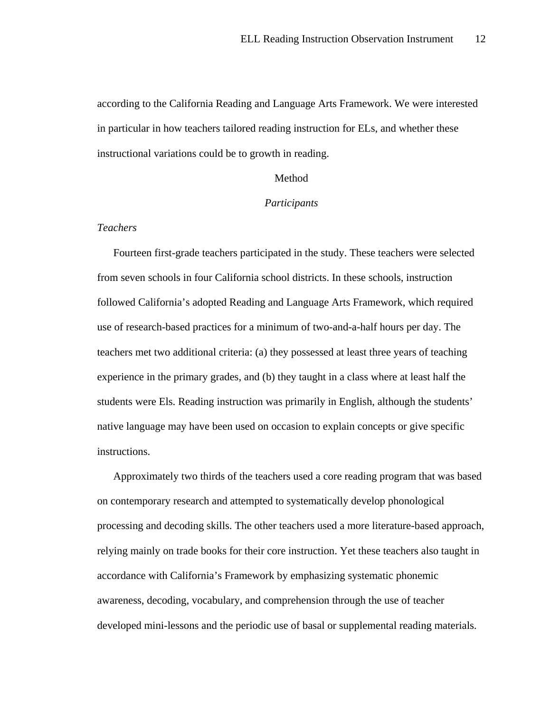according to the California Reading and Language Arts Framework. We were interested in particular in how teachers tailored reading instruction for ELs, and whether these instructional variations could be to growth in reading.

#### Method

#### *Participants*

#### *Teachers*

Fourteen first-grade teachers participated in the study. These teachers were selected from seven schools in four California school districts. In these schools, instruction followed California's adopted Reading and Language Arts Framework, which required use of research-based practices for a minimum of two-and-a-half hours per day. The teachers met two additional criteria: (a) they possessed at least three years of teaching experience in the primary grades, and (b) they taught in a class where at least half the students were Els. Reading instruction was primarily in English, although the students' native language may have been used on occasion to explain concepts or give specific instructions.

Approximately two thirds of the teachers used a core reading program that was based on contemporary research and attempted to systematically develop phonological processing and decoding skills. The other teachers used a more literature-based approach, relying mainly on trade books for their core instruction. Yet these teachers also taught in accordance with California's Framework by emphasizing systematic phonemic awareness, decoding, vocabulary, and comprehension through the use of teacher developed mini-lessons and the periodic use of basal or supplemental reading materials.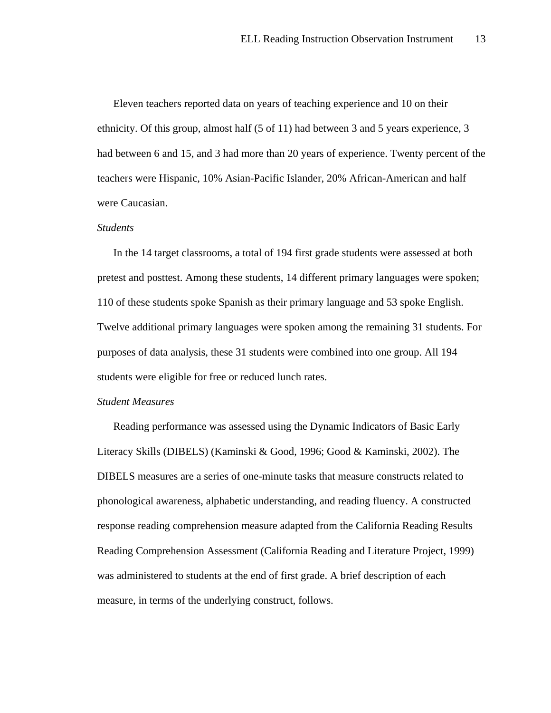Eleven teachers reported data on years of teaching experience and 10 on their ethnicity. Of this group, almost half (5 of 11) had between 3 and 5 years experience, 3 had between 6 and 15, and 3 had more than 20 years of experience. Twenty percent of the teachers were Hispanic, 10% Asian-Pacific Islander, 20% African-American and half were Caucasian.

# *Students*

In the 14 target classrooms, a total of 194 first grade students were assessed at both pretest and posttest. Among these students, 14 different primary languages were spoken; 110 of these students spoke Spanish as their primary language and 53 spoke English. Twelve additional primary languages were spoken among the remaining 31 students. For purposes of data analysis, these 31 students were combined into one group. All 194 students were eligible for free or reduced lunch rates.

#### *Student Measures*

Reading performance was assessed using the Dynamic Indicators of Basic Early Literacy Skills (DIBELS) (Kaminski & Good, 1996; Good & Kaminski, 2002). The DIBELS measures are a series of one-minute tasks that measure constructs related to phonological awareness, alphabetic understanding, and reading fluency. A constructed response reading comprehension measure adapted from the California Reading Results Reading Comprehension Assessment (California Reading and Literature Project, 1999) was administered to students at the end of first grade. A brief description of each measure, in terms of the underlying construct, follows.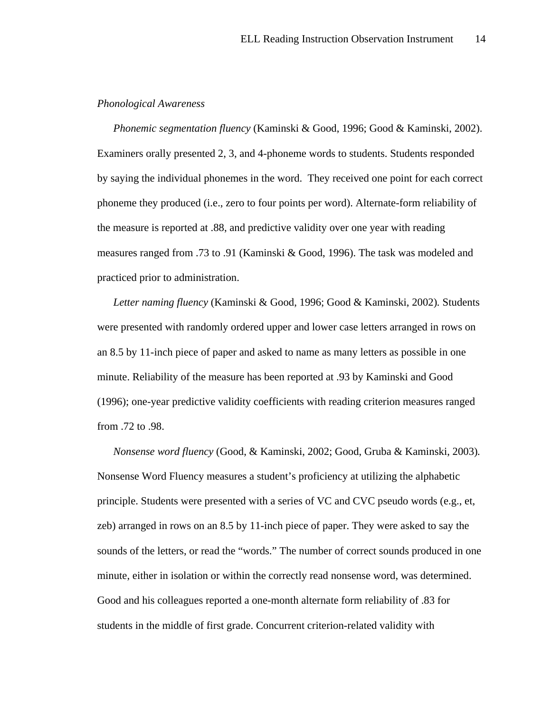#### *Phonological Awareness*

*Phonemic segmentation fluency* (Kaminski & Good, 1996; Good & Kaminski, 2002). Examiners orally presented 2, 3, and 4-phoneme words to students. Students responded by saying the individual phonemes in the word. They received one point for each correct phoneme they produced (i.e., zero to four points per word). Alternate-form reliability of the measure is reported at .88, and predictive validity over one year with reading measures ranged from .73 to .91 (Kaminski & Good, 1996). The task was modeled and practiced prior to administration.

*Letter naming fluency* (Kaminski & Good, 1996; Good & Kaminski, 2002)*.* Students were presented with randomly ordered upper and lower case letters arranged in rows on an 8.5 by 11-inch piece of paper and asked to name as many letters as possible in one minute. Reliability of the measure has been reported at .93 by Kaminski and Good (1996); one-year predictive validity coefficients with reading criterion measures ranged from .72 to .98.

*Nonsense word fluency* (Good, & Kaminski, 2002; Good, Gruba & Kaminski, 2003)*.* Nonsense Word Fluency measures a student's proficiency at utilizing the alphabetic principle. Students were presented with a series of VC and CVC pseudo words (e.g., et, zeb) arranged in rows on an 8.5 by 11-inch piece of paper. They were asked to say the sounds of the letters, or read the "words." The number of correct sounds produced in one minute, either in isolation or within the correctly read nonsense word, was determined. Good and his colleagues reported a one-month alternate form reliability of .83 for students in the middle of first grade. Concurrent criterion-related validity with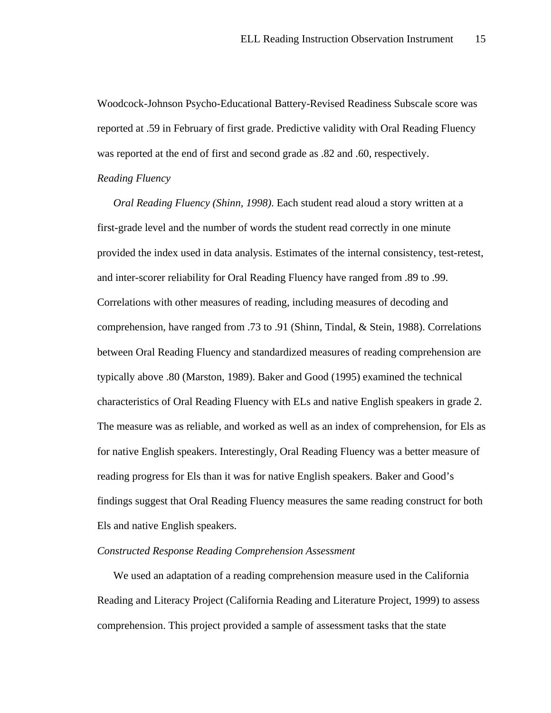Woodcock-Johnson Psycho-Educational Battery-Revised Readiness Subscale score was reported at .59 in February of first grade. Predictive validity with Oral Reading Fluency was reported at the end of first and second grade as .82 and .60, respectively.

# *Reading Fluency*

*Oral Reading Fluency (Shinn, 1998)*. Each student read aloud a story written at a first-grade level and the number of words the student read correctly in one minute provided the index used in data analysis. Estimates of the internal consistency, test-retest, and inter-scorer reliability for Oral Reading Fluency have ranged from .89 to .99. Correlations with other measures of reading, including measures of decoding and comprehension, have ranged from .73 to .91 (Shinn, Tindal, & Stein, 1988). Correlations between Oral Reading Fluency and standardized measures of reading comprehension are typically above .80 (Marston, 1989). Baker and Good (1995) examined the technical characteristics of Oral Reading Fluency with ELs and native English speakers in grade 2. The measure was as reliable, and worked as well as an index of comprehension, for Els as for native English speakers. Interestingly, Oral Reading Fluency was a better measure of reading progress for Els than it was for native English speakers. Baker and Good's findings suggest that Oral Reading Fluency measures the same reading construct for both Els and native English speakers.

# *Constructed Response Reading Comprehension Assessment*

We used an adaptation of a reading comprehension measure used in the California Reading and Literacy Project (California Reading and Literature Project, 1999) to assess comprehension. This project provided a sample of assessment tasks that the state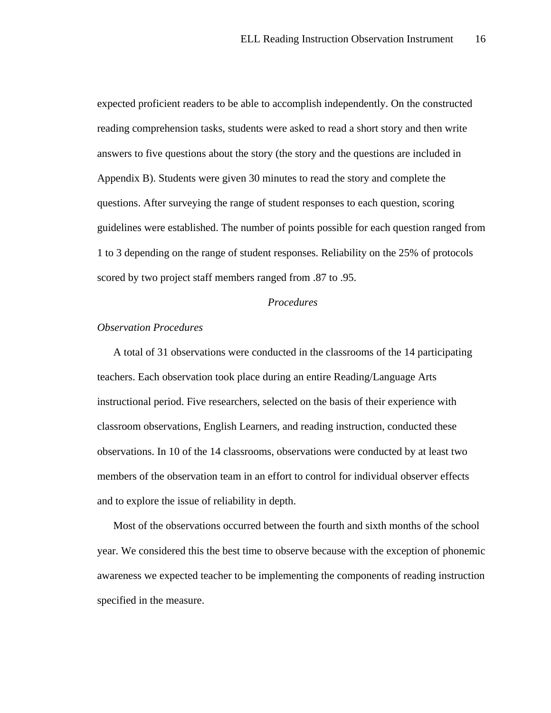expected proficient readers to be able to accomplish independently. On the constructed reading comprehension tasks, students were asked to read a short story and then write answers to five questions about the story (the story and the questions are included in Appendix B). Students were given 30 minutes to read the story and complete the questions. After surveying the range of student responses to each question, scoring guidelines were established. The number of points possible for each question ranged from 1 to 3 depending on the range of student responses. Reliability on the 25% of protocols scored by two project staff members ranged from .87 to .95.

#### *Procedures*

# *Observation Procedures*

A total of 31 observations were conducted in the classrooms of the 14 participating teachers. Each observation took place during an entire Reading/Language Arts instructional period. Five researchers, selected on the basis of their experience with classroom observations, English Learners, and reading instruction, conducted these observations. In 10 of the 14 classrooms, observations were conducted by at least two members of the observation team in an effort to control for individual observer effects and to explore the issue of reliability in depth.

Most of the observations occurred between the fourth and sixth months of the school year. We considered this the best time to observe because with the exception of phonemic awareness we expected teacher to be implementing the components of reading instruction specified in the measure.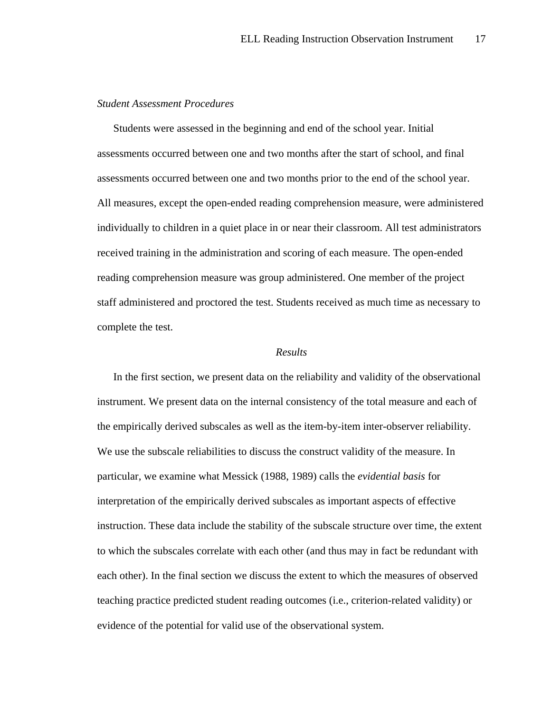# *Student Assessment Procedures*

Students were assessed in the beginning and end of the school year. Initial assessments occurred between one and two months after the start of school, and final assessments occurred between one and two months prior to the end of the school year. All measures, except the open-ended reading comprehension measure, were administered individually to children in a quiet place in or near their classroom. All test administrators received training in the administration and scoring of each measure. The open-ended reading comprehension measure was group administered. One member of the project staff administered and proctored the test. Students received as much time as necessary to complete the test.

#### *Results*

In the first section, we present data on the reliability and validity of the observational instrument. We present data on the internal consistency of the total measure and each of the empirically derived subscales as well as the item-by-item inter-observer reliability. We use the subscale reliabilities to discuss the construct validity of the measure. In particular, we examine what Messick (1988, 1989) calls the *evidential basis* for interpretation of the empirically derived subscales as important aspects of effective instruction. These data include the stability of the subscale structure over time, the extent to which the subscales correlate with each other (and thus may in fact be redundant with each other). In the final section we discuss the extent to which the measures of observed teaching practice predicted student reading outcomes (i.e., criterion-related validity) or evidence of the potential for valid use of the observational system.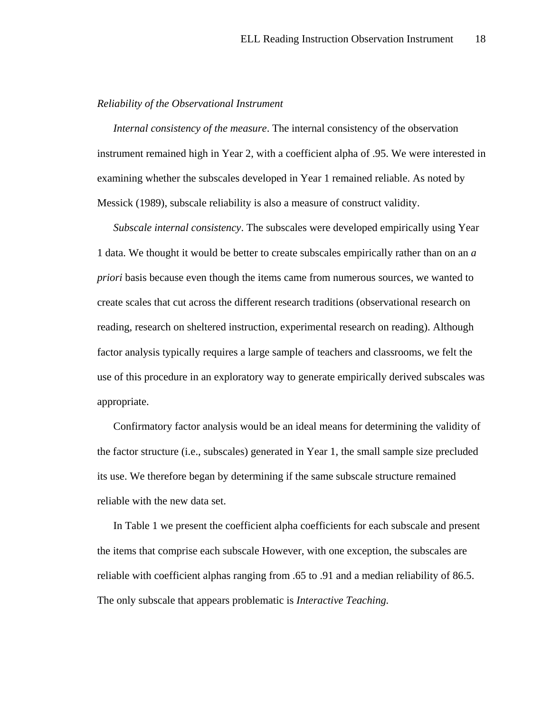## *Reliability of the Observational Instrument*

*Internal consistency of the measure*. The internal consistency of the observation instrument remained high in Year 2, with a coefficient alpha of .95. We were interested in examining whether the subscales developed in Year 1 remained reliable. As noted by Messick (1989), subscale reliability is also a measure of construct validity.

*Subscale internal consistency*. The subscales were developed empirically using Year 1 data. We thought it would be better to create subscales empirically rather than on an *a priori* basis because even though the items came from numerous sources, we wanted to create scales that cut across the different research traditions (observational research on reading, research on sheltered instruction, experimental research on reading). Although factor analysis typically requires a large sample of teachers and classrooms, we felt the use of this procedure in an exploratory way to generate empirically derived subscales was appropriate.

Confirmatory factor analysis would be an ideal means for determining the validity of the factor structure (i.e., subscales) generated in Year 1, the small sample size precluded its use. We therefore began by determining if the same subscale structure remained reliable with the new data set.

In Table 1 we present the coefficient alpha coefficients for each subscale and present the items that comprise each subscale However, with one exception, the subscales are reliable with coefficient alphas ranging from .65 to .91 and a median reliability of 86.5. The only subscale that appears problematic is *Interactive Teaching.*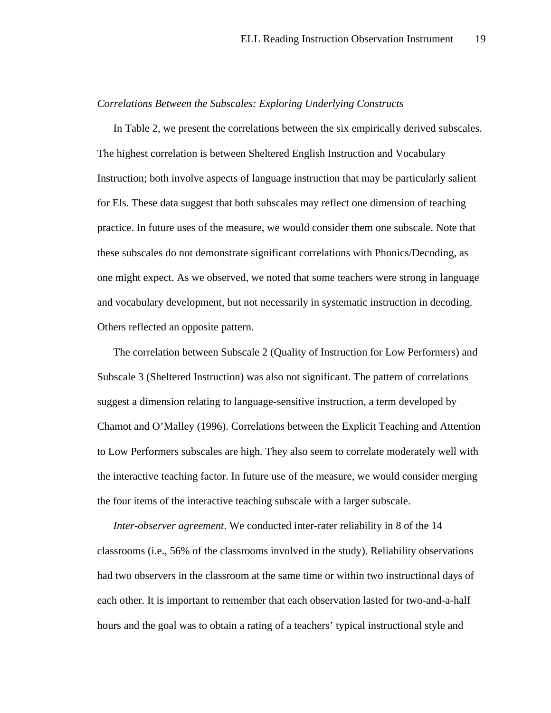# *Correlations Between the Subscales: Exploring Underlying Constructs*

In Table 2, we present the correlations between the six empirically derived subscales. The highest correlation is between Sheltered English Instruction and Vocabulary Instruction; both involve aspects of language instruction that may be particularly salient for Els. These data suggest that both subscales may reflect one dimension of teaching practice. In future uses of the measure, we would consider them one subscale. Note that these subscales do not demonstrate significant correlations with Phonics/Decoding, as one might expect. As we observed, we noted that some teachers were strong in language and vocabulary development, but not necessarily in systematic instruction in decoding. Others reflected an opposite pattern.

The correlation between Subscale 2 (Quality of Instruction for Low Performers) and Subscale 3 (Sheltered Instruction) was also not significant. The pattern of correlations suggest a dimension relating to language-sensitive instruction, a term developed by Chamot and O'Malley (1996). Correlations between the Explicit Teaching and Attention to Low Performers subscales are high. They also seem to correlate moderately well with the interactive teaching factor. In future use of the measure, we would consider merging the four items of the interactive teaching subscale with a larger subscale.

*Inter-observer agreement*. We conducted inter-rater reliability in 8 of the 14 classrooms (i.e., 56% of the classrooms involved in the study). Reliability observations had two observers in the classroom at the same time or within two instructional days of each other. It is important to remember that each observation lasted for two-and-a-half hours and the goal was to obtain a rating of a teachers' typical instructional style and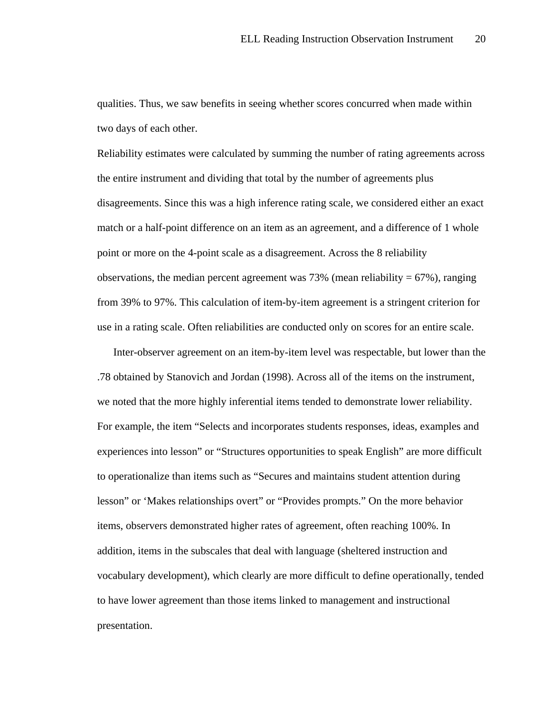qualities. Thus, we saw benefits in seeing whether scores concurred when made within two days of each other.

Reliability estimates were calculated by summing the number of rating agreements across the entire instrument and dividing that total by the number of agreements plus disagreements. Since this was a high inference rating scale, we considered either an exact match or a half-point difference on an item as an agreement, and a difference of 1 whole point or more on the 4-point scale as a disagreement. Across the 8 reliability observations, the median percent agreement was  $73\%$  (mean reliability =  $67\%$ ), ranging from 39% to 97%. This calculation of item-by-item agreement is a stringent criterion for use in a rating scale. Often reliabilities are conducted only on scores for an entire scale.

Inter-observer agreement on an item-by-item level was respectable, but lower than the .78 obtained by Stanovich and Jordan (1998). Across all of the items on the instrument, we noted that the more highly inferential items tended to demonstrate lower reliability. For example, the item "Selects and incorporates students responses, ideas, examples and experiences into lesson" or "Structures opportunities to speak English" are more difficult to operationalize than items such as "Secures and maintains student attention during lesson" or 'Makes relationships overt" or "Provides prompts." On the more behavior items, observers demonstrated higher rates of agreement, often reaching 100%. In addition, items in the subscales that deal with language (sheltered instruction and vocabulary development), which clearly are more difficult to define operationally, tended to have lower agreement than those items linked to management and instructional presentation.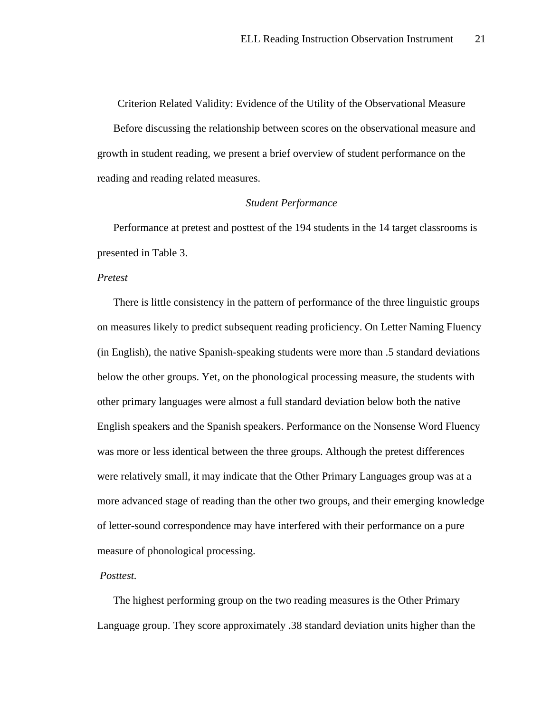Criterion Related Validity: Evidence of the Utility of the Observational Measure

Before discussing the relationship between scores on the observational measure and growth in student reading, we present a brief overview of student performance on the reading and reading related measures.

#### *Student Performance*

Performance at pretest and posttest of the 194 students in the 14 target classrooms is presented in Table 3.

#### *Pretest*

There is little consistency in the pattern of performance of the three linguistic groups on measures likely to predict subsequent reading proficiency. On Letter Naming Fluency (in English), the native Spanish-speaking students were more than .5 standard deviations below the other groups. Yet, on the phonological processing measure, the students with other primary languages were almost a full standard deviation below both the native English speakers and the Spanish speakers. Performance on the Nonsense Word Fluency was more or less identical between the three groups. Although the pretest differences were relatively small, it may indicate that the Other Primary Languages group was at a more advanced stage of reading than the other two groups, and their emerging knowledge of letter-sound correspondence may have interfered with their performance on a pure measure of phonological processing.

#### *Posttest.*

The highest performing group on the two reading measures is the Other Primary Language group. They score approximately .38 standard deviation units higher than the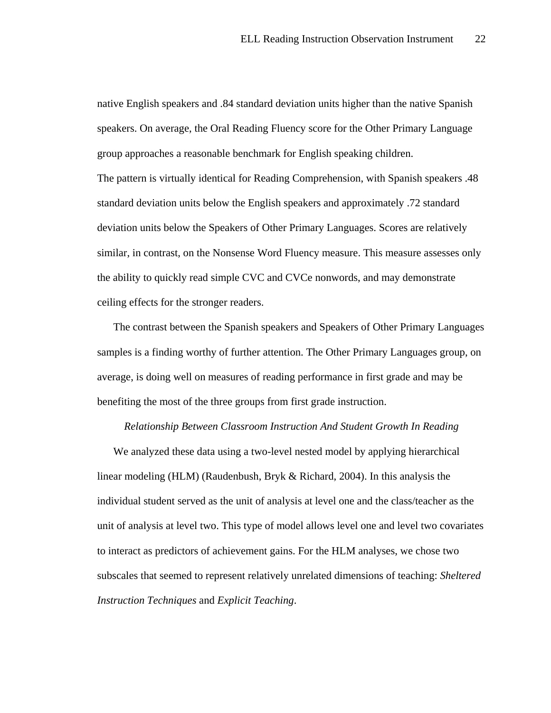native English speakers and .84 standard deviation units higher than the native Spanish speakers. On average, the Oral Reading Fluency score for the Other Primary Language group approaches a reasonable benchmark for English speaking children. The pattern is virtually identical for Reading Comprehension, with Spanish speakers .48 standard deviation units below the English speakers and approximately .72 standard deviation units below the Speakers of Other Primary Languages. Scores are relatively similar, in contrast, on the Nonsense Word Fluency measure. This measure assesses only the ability to quickly read simple CVC and CVCe nonwords, and may demonstrate ceiling effects for the stronger readers.

The contrast between the Spanish speakers and Speakers of Other Primary Languages samples is a finding worthy of further attention. The Other Primary Languages group, on average, is doing well on measures of reading performance in first grade and may be benefiting the most of the three groups from first grade instruction.

#### *Relationship Between Classroom Instruction And Student Growth In Reading*

We analyzed these data using a two-level nested model by applying hierarchical linear modeling (HLM) (Raudenbush, Bryk & Richard, 2004). In this analysis the individual student served as the unit of analysis at level one and the class/teacher as the unit of analysis at level two. This type of model allows level one and level two covariates to interact as predictors of achievement gains. For the HLM analyses, we chose two subscales that seemed to represent relatively unrelated dimensions of teaching: *Sheltered Instruction Techniques* and *Explicit Teaching*.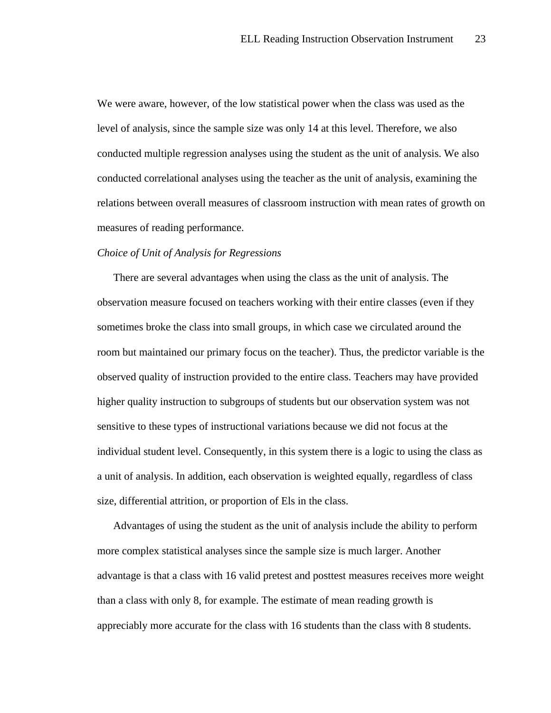We were aware, however, of the low statistical power when the class was used as the level of analysis, since the sample size was only 14 at this level. Therefore, we also conducted multiple regression analyses using the student as the unit of analysis. We also conducted correlational analyses using the teacher as the unit of analysis, examining the relations between overall measures of classroom instruction with mean rates of growth on measures of reading performance.

# *Choice of Unit of Analysis for Regressions*

There are several advantages when using the class as the unit of analysis. The observation measure focused on teachers working with their entire classes (even if they sometimes broke the class into small groups, in which case we circulated around the room but maintained our primary focus on the teacher). Thus, the predictor variable is the observed quality of instruction provided to the entire class. Teachers may have provided higher quality instruction to subgroups of students but our observation system was not sensitive to these types of instructional variations because we did not focus at the individual student level. Consequently, in this system there is a logic to using the class as a unit of analysis. In addition, each observation is weighted equally, regardless of class size, differential attrition, or proportion of Els in the class.

Advantages of using the student as the unit of analysis include the ability to perform more complex statistical analyses since the sample size is much larger. Another advantage is that a class with 16 valid pretest and posttest measures receives more weight than a class with only 8, for example. The estimate of mean reading growth is appreciably more accurate for the class with 16 students than the class with 8 students.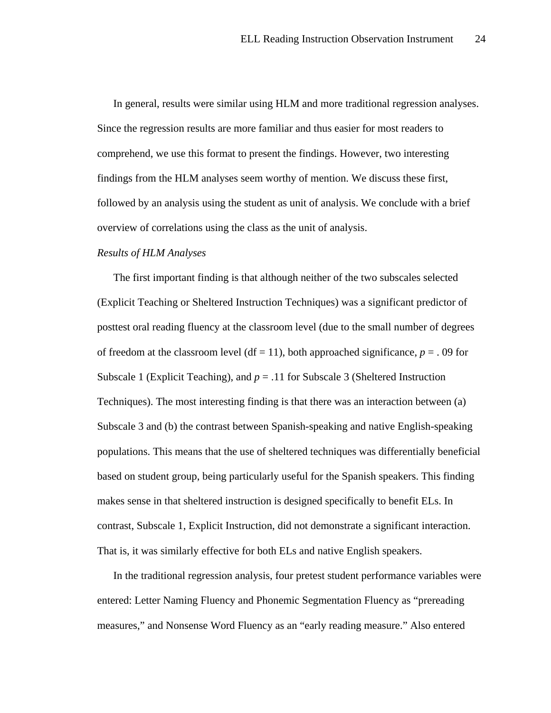In general, results were similar using HLM and more traditional regression analyses. Since the regression results are more familiar and thus easier for most readers to comprehend, we use this format to present the findings. However, two interesting findings from the HLM analyses seem worthy of mention. We discuss these first, followed by an analysis using the student as unit of analysis. We conclude with a brief overview of correlations using the class as the unit of analysis.

# *Results of HLM Analyses*

The first important finding is that although neither of the two subscales selected (Explicit Teaching or Sheltered Instruction Techniques) was a significant predictor of posttest oral reading fluency at the classroom level (due to the small number of degrees of freedom at the classroom level ( $df = 11$ ), both approached significance,  $p = 0.09$  for Subscale 1 (Explicit Teaching), and  $p = .11$  for Subscale 3 (Sheltered Instruction Techniques). The most interesting finding is that there was an interaction between (a) Subscale 3 and (b) the contrast between Spanish-speaking and native English-speaking populations. This means that the use of sheltered techniques was differentially beneficial based on student group, being particularly useful for the Spanish speakers. This finding makes sense in that sheltered instruction is designed specifically to benefit ELs. In contrast, Subscale 1, Explicit Instruction, did not demonstrate a significant interaction. That is, it was similarly effective for both ELs and native English speakers.

In the traditional regression analysis, four pretest student performance variables were entered: Letter Naming Fluency and Phonemic Segmentation Fluency as "prereading measures," and Nonsense Word Fluency as an "early reading measure." Also entered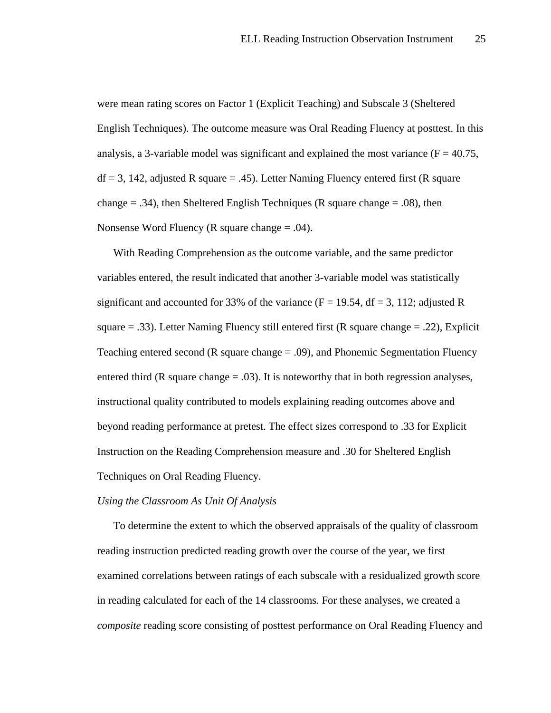were mean rating scores on Factor 1 (Explicit Teaching) and Subscale 3 (Sheltered English Techniques). The outcome measure was Oral Reading Fluency at posttest. In this analysis, a 3-variable model was significant and explained the most variance  $(F = 40.75,$  $df = 3$ , 142, adjusted R square = .45). Letter Naming Fluency entered first (R square change  $= .34$ ), then Sheltered English Techniques (R square change  $= .08$ ), then Nonsense Word Fluency ( $R$  square change  $= .04$ ).

With Reading Comprehension as the outcome variable, and the same predictor variables entered, the result indicated that another 3-variable model was statistically significant and accounted for 33% of the variance ( $F = 19.54$ , df = 3, 112; adjusted R square  $= .33$ ). Letter Naming Fluency still entered first (R square change  $= .22$ ), Explicit Teaching entered second (R square change = .09), and Phonemic Segmentation Fluency entered third (R square change  $= .03$ ). It is noteworthy that in both regression analyses, instructional quality contributed to models explaining reading outcomes above and beyond reading performance at pretest. The effect sizes correspond to .33 for Explicit Instruction on the Reading Comprehension measure and .30 for Sheltered English Techniques on Oral Reading Fluency.

## *Using the Classroom As Unit Of Analysis*

To determine the extent to which the observed appraisals of the quality of classroom reading instruction predicted reading growth over the course of the year, we first examined correlations between ratings of each subscale with a residualized growth score in reading calculated for each of the 14 classrooms. For these analyses, we created a *composite* reading score consisting of posttest performance on Oral Reading Fluency and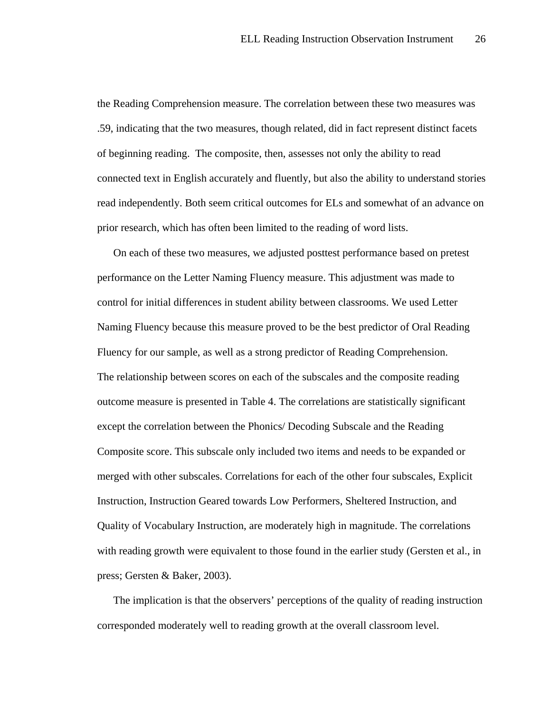the Reading Comprehension measure. The correlation between these two measures was .59, indicating that the two measures, though related, did in fact represent distinct facets of beginning reading. The composite, then, assesses not only the ability to read connected text in English accurately and fluently, but also the ability to understand stories read independently. Both seem critical outcomes for ELs and somewhat of an advance on prior research, which has often been limited to the reading of word lists.

On each of these two measures, we adjusted posttest performance based on pretest performance on the Letter Naming Fluency measure. This adjustment was made to control for initial differences in student ability between classrooms. We used Letter Naming Fluency because this measure proved to be the best predictor of Oral Reading Fluency for our sample, as well as a strong predictor of Reading Comprehension. The relationship between scores on each of the subscales and the composite reading outcome measure is presented in Table 4. The correlations are statistically significant except the correlation between the Phonics/ Decoding Subscale and the Reading Composite score. This subscale only included two items and needs to be expanded or merged with other subscales. Correlations for each of the other four subscales, Explicit Instruction, Instruction Geared towards Low Performers, Sheltered Instruction, and Quality of Vocabulary Instruction, are moderately high in magnitude. The correlations with reading growth were equivalent to those found in the earlier study (Gersten et al., in press; Gersten & Baker, 2003).

The implication is that the observers' perceptions of the quality of reading instruction corresponded moderately well to reading growth at the overall classroom level.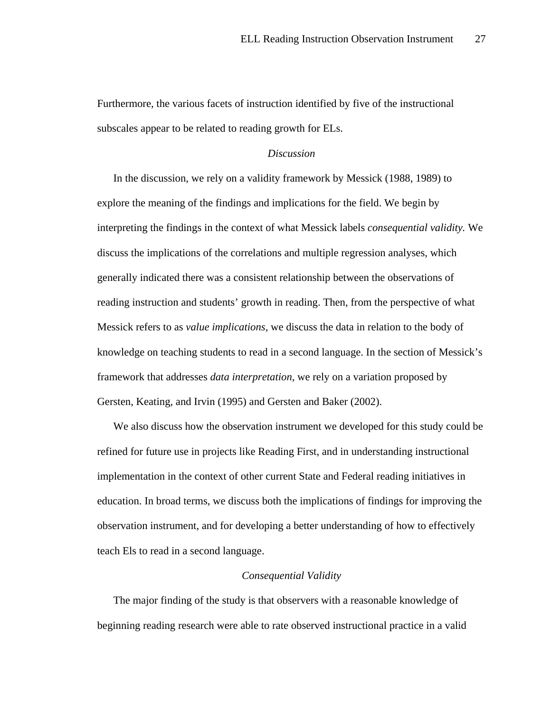Furthermore, the various facets of instruction identified by five of the instructional subscales appear to be related to reading growth for ELs.

#### *Discussion*

In the discussion, we rely on a validity framework by Messick (1988, 1989) to explore the meaning of the findings and implications for the field. We begin by interpreting the findings in the context of what Messick labels *consequential validity.* We discuss the implications of the correlations and multiple regression analyses, which generally indicated there was a consistent relationship between the observations of reading instruction and students' growth in reading. Then, from the perspective of what Messick refers to as *value implications,* we discuss the data in relation to the body of knowledge on teaching students to read in a second language. In the section of Messick's framework that addresses *data interpretation*, we rely on a variation proposed by Gersten, Keating, and Irvin (1995) and Gersten and Baker (2002).

We also discuss how the observation instrument we developed for this study could be refined for future use in projects like Reading First, and in understanding instructional implementation in the context of other current State and Federal reading initiatives in education. In broad terms, we discuss both the implications of findings for improving the observation instrument, and for developing a better understanding of how to effectively teach Els to read in a second language.

#### *Consequential Validity*

The major finding of the study is that observers with a reasonable knowledge of beginning reading research were able to rate observed instructional practice in a valid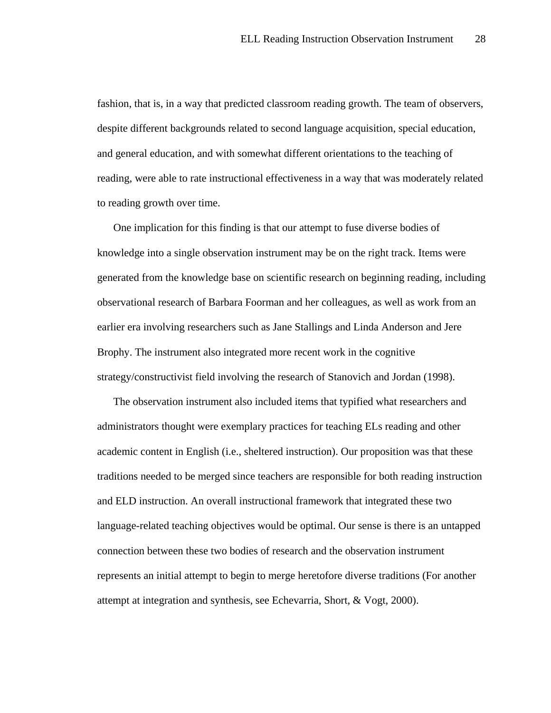fashion, that is, in a way that predicted classroom reading growth. The team of observers, despite different backgrounds related to second language acquisition, special education, and general education, and with somewhat different orientations to the teaching of reading, were able to rate instructional effectiveness in a way that was moderately related to reading growth over time.

One implication for this finding is that our attempt to fuse diverse bodies of knowledge into a single observation instrument may be on the right track. Items were generated from the knowledge base on scientific research on beginning reading, including observational research of Barbara Foorman and her colleagues, as well as work from an earlier era involving researchers such as Jane Stallings and Linda Anderson and Jere Brophy. The instrument also integrated more recent work in the cognitive strategy/constructivist field involving the research of Stanovich and Jordan (1998).

The observation instrument also included items that typified what researchers and administrators thought were exemplary practices for teaching ELs reading and other academic content in English (i.e., sheltered instruction). Our proposition was that these traditions needed to be merged since teachers are responsible for both reading instruction and ELD instruction. An overall instructional framework that integrated these two language-related teaching objectives would be optimal. Our sense is there is an untapped connection between these two bodies of research and the observation instrument represents an initial attempt to begin to merge heretofore diverse traditions (For another attempt at integration and synthesis, see Echevarria, Short, & Vogt, 2000).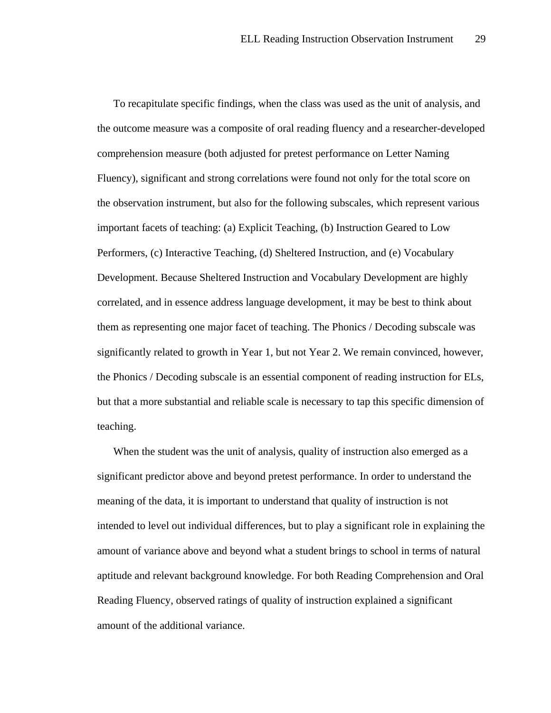To recapitulate specific findings, when the class was used as the unit of analysis, and the outcome measure was a composite of oral reading fluency and a researcher-developed comprehension measure (both adjusted for pretest performance on Letter Naming Fluency), significant and strong correlations were found not only for the total score on the observation instrument, but also for the following subscales, which represent various important facets of teaching: (a) Explicit Teaching, (b) Instruction Geared to Low Performers, (c) Interactive Teaching, (d) Sheltered Instruction, and (e) Vocabulary Development. Because Sheltered Instruction and Vocabulary Development are highly correlated, and in essence address language development, it may be best to think about them as representing one major facet of teaching. The Phonics / Decoding subscale was significantly related to growth in Year 1, but not Year 2. We remain convinced, however, the Phonics / Decoding subscale is an essential component of reading instruction for ELs, but that a more substantial and reliable scale is necessary to tap this specific dimension of teaching.

When the student was the unit of analysis, quality of instruction also emerged as a significant predictor above and beyond pretest performance. In order to understand the meaning of the data, it is important to understand that quality of instruction is not intended to level out individual differences, but to play a significant role in explaining the amount of variance above and beyond what a student brings to school in terms of natural aptitude and relevant background knowledge. For both Reading Comprehension and Oral Reading Fluency, observed ratings of quality of instruction explained a significant amount of the additional variance.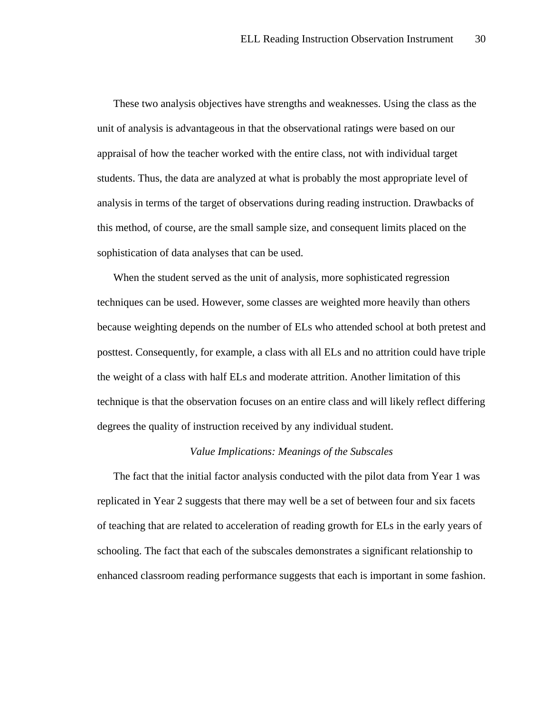These two analysis objectives have strengths and weaknesses. Using the class as the unit of analysis is advantageous in that the observational ratings were based on our appraisal of how the teacher worked with the entire class, not with individual target students. Thus, the data are analyzed at what is probably the most appropriate level of analysis in terms of the target of observations during reading instruction. Drawbacks of this method, of course, are the small sample size, and consequent limits placed on the sophistication of data analyses that can be used.

When the student served as the unit of analysis, more sophisticated regression techniques can be used. However, some classes are weighted more heavily than others because weighting depends on the number of ELs who attended school at both pretest and posttest. Consequently, for example, a class with all ELs and no attrition could have triple the weight of a class with half ELs and moderate attrition. Another limitation of this technique is that the observation focuses on an entire class and will likely reflect differing degrees the quality of instruction received by any individual student.

#### *Value Implications: Meanings of the Subscales*

The fact that the initial factor analysis conducted with the pilot data from Year 1 was replicated in Year 2 suggests that there may well be a set of between four and six facets of teaching that are related to acceleration of reading growth for ELs in the early years of schooling. The fact that each of the subscales demonstrates a significant relationship to enhanced classroom reading performance suggests that each is important in some fashion.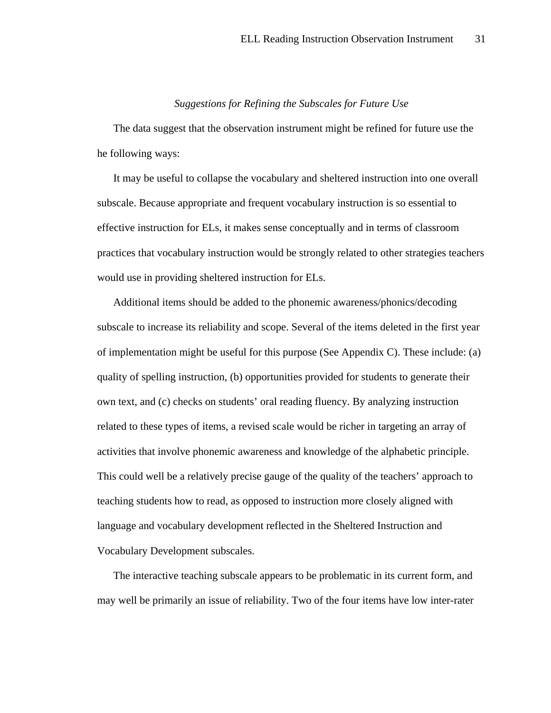## *Suggestions for Refining the Subscales for Future Use*

The data suggest that the observation instrument might be refined for future use the he following ways:

It may be useful to collapse the vocabulary and sheltered instruction into one overall subscale. Because appropriate and frequent vocabulary instruction is so essential to effective instruction for ELs, it makes sense conceptually and in terms of classroom practices that vocabulary instruction would be strongly related to other strategies teachers would use in providing sheltered instruction for ELs.

Additional items should be added to the phonemic awareness/phonics/decoding subscale to increase its reliability and scope. Several of the items deleted in the first year of implementation might be useful for this purpose (See Appendix C). These include: (a) quality of spelling instruction, (b) opportunities provided for students to generate their own text, and (c) checks on students' oral reading fluency. By analyzing instruction related to these types of items, a revised scale would be richer in targeting an array of activities that involve phonemic awareness and knowledge of the alphabetic principle. This could well be a relatively precise gauge of the quality of the teachers' approach to teaching students how to read, as opposed to instruction more closely aligned with language and vocabulary development reflected in the Sheltered Instruction and Vocabulary Development subscales.

The interactive teaching subscale appears to be problematic in its current form, and may well be primarily an issue of reliability. Two of the four items have low inter-rater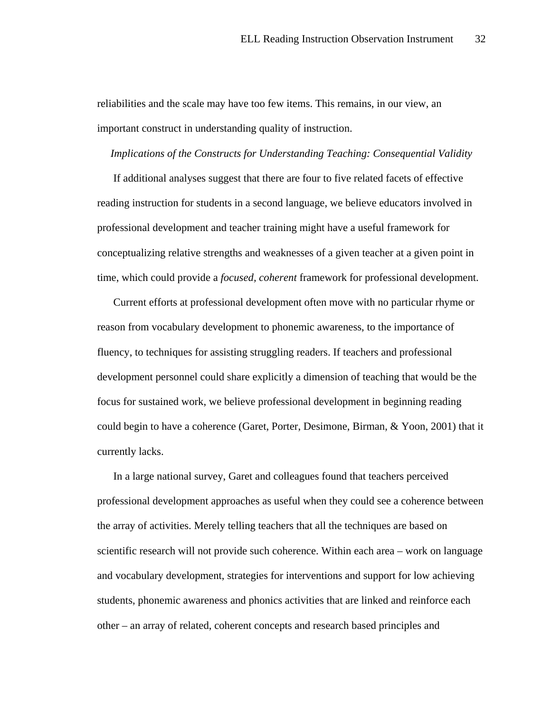reliabilities and the scale may have too few items. This remains, in our view, an important construct in understanding quality of instruction.

#### *Implications of the Constructs for Understanding Teaching: Consequential Validity*

If additional analyses suggest that there are four to five related facets of effective reading instruction for students in a second language, we believe educators involved in professional development and teacher training might have a useful framework for conceptualizing relative strengths and weaknesses of a given teacher at a given point in time, which could provide a *focused, coherent* framework for professional development.

Current efforts at professional development often move with no particular rhyme or reason from vocabulary development to phonemic awareness, to the importance of fluency, to techniques for assisting struggling readers. If teachers and professional development personnel could share explicitly a dimension of teaching that would be the focus for sustained work, we believe professional development in beginning reading could begin to have a coherence (Garet, Porter, Desimone, Birman, & Yoon, 2001) that it currently lacks.

In a large national survey, Garet and colleagues found that teachers perceived professional development approaches as useful when they could see a coherence between the array of activities. Merely telling teachers that all the techniques are based on scientific research will not provide such coherence. Within each area – work on language and vocabulary development, strategies for interventions and support for low achieving students, phonemic awareness and phonics activities that are linked and reinforce each other – an array of related, coherent concepts and research based principles and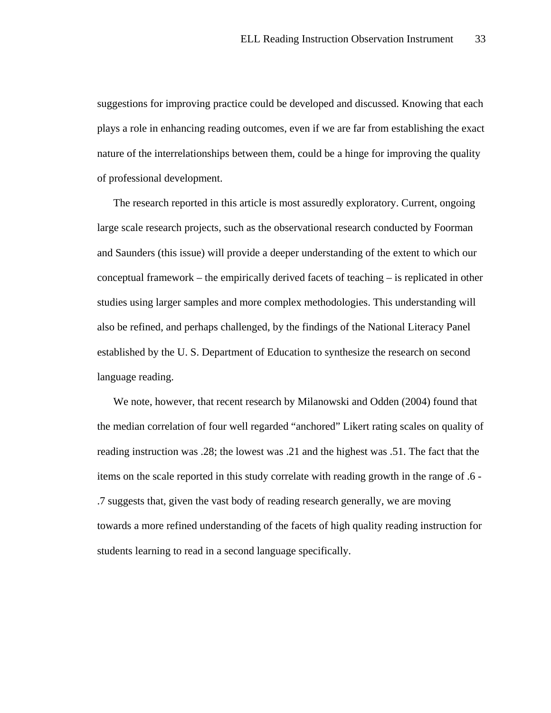suggestions for improving practice could be developed and discussed. Knowing that each plays a role in enhancing reading outcomes, even if we are far from establishing the exact nature of the interrelationships between them, could be a hinge for improving the quality of professional development.

The research reported in this article is most assuredly exploratory. Current, ongoing large scale research projects, such as the observational research conducted by Foorman and Saunders (this issue) will provide a deeper understanding of the extent to which our conceptual framework – the empirically derived facets of teaching – is replicated in other studies using larger samples and more complex methodologies. This understanding will also be refined, and perhaps challenged, by the findings of the National Literacy Panel established by the U. S. Department of Education to synthesize the research on second language reading.

We note, however, that recent research by Milanowski and Odden (2004) found that the median correlation of four well regarded "anchored" Likert rating scales on quality of reading instruction was .28; the lowest was .21 and the highest was .51. The fact that the items on the scale reported in this study correlate with reading growth in the range of .6 - .7 suggests that, given the vast body of reading research generally, we are moving towards a more refined understanding of the facets of high quality reading instruction for students learning to read in a second language specifically.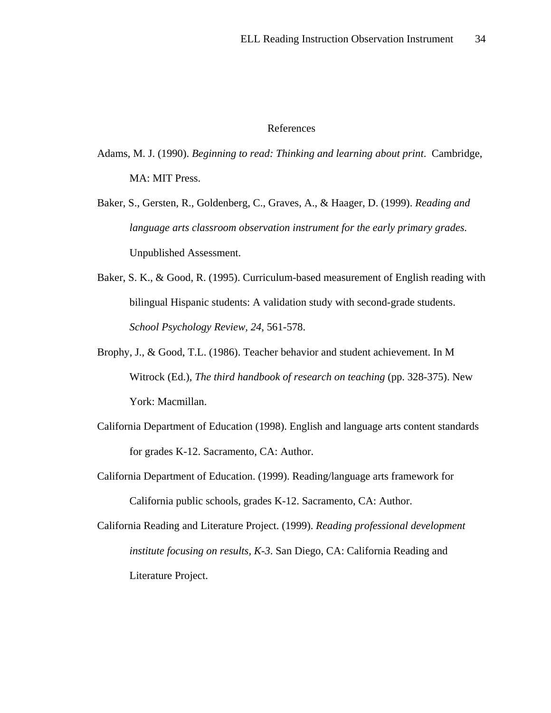# References

Adams, M. J. (1990). *Beginning to read: Thinking and learning about print*. Cambridge, MA: MIT Press.

Baker, S., Gersten, R., Goldenberg, C., Graves, A., & Haager, D. (1999). *Reading and language arts classroom observation instrument for the early primary grades.* Unpublished Assessment.

- Baker, S. K., & Good, R. (1995). Curriculum-based measurement of English reading with bilingual Hispanic students: A validation study with second-grade students. *School Psychology Review, 24*, 561-578.
- Brophy, J., & Good, T.L. (1986). Teacher behavior and student achievement. In M Witrock (Ed.), *The third handbook of research on teaching* (pp. 328-375). New York: Macmillan.
- California Department of Education (1998). English and language arts content standards for grades K-12. Sacramento, CA: Author.
- California Department of Education. (1999). Reading/language arts framework for California public schools, grades K-12. Sacramento, CA: Author.

California Reading and Literature Project. (1999). *Reading professional development institute focusing on results, K-3*. San Diego, CA: California Reading and Literature Project.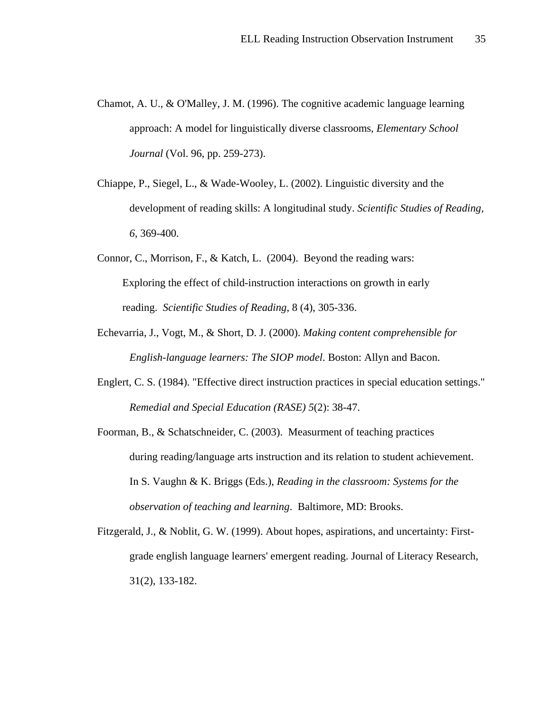- Chamot, A. U., & O'Malley, J. M. (1996). The cognitive academic language learning approach: A model for linguistically diverse classrooms, *Elementary School Journal* (Vol. 96, pp. 259-273).
- Chiappe, P., Siegel, L., & Wade-Wooley, L. (2002). Linguistic diversity and the development of reading skills: A longitudinal study. *Scientific Studies of Reading, 6*, 369-400.
- Connor, C., Morrison, F., & Katch, L. (2004). Beyond the reading wars: Exploring the effect of child-instruction interactions on growth in early reading. *Scientific Studies of Reading*, 8 (4), 305-336.
- Echevarria, J., Vogt, M., & Short, D. J. (2000). *Making content comprehensible for English-language learners: The SIOP model*. Boston: Allyn and Bacon.
- Englert, C. S. (1984). "Effective direct instruction practices in special education settings." *Remedial and Special Education (RASE) 5*(2): 38-47.
- Foorman, B., & Schatschneider, C. (2003). Measurment of teaching practices during reading/language arts instruction and its relation to student achievement. In S. Vaughn & K. Briggs (Eds.), *Reading in the classroom: Systems for the observation of teaching and learning*. Baltimore, MD: Brooks.
- Fitzgerald, J., & Noblit, G. W. (1999). About hopes, aspirations, and uncertainty: Firstgrade english language learners' emergent reading. Journal of Literacy Research, 31(2), 133-182.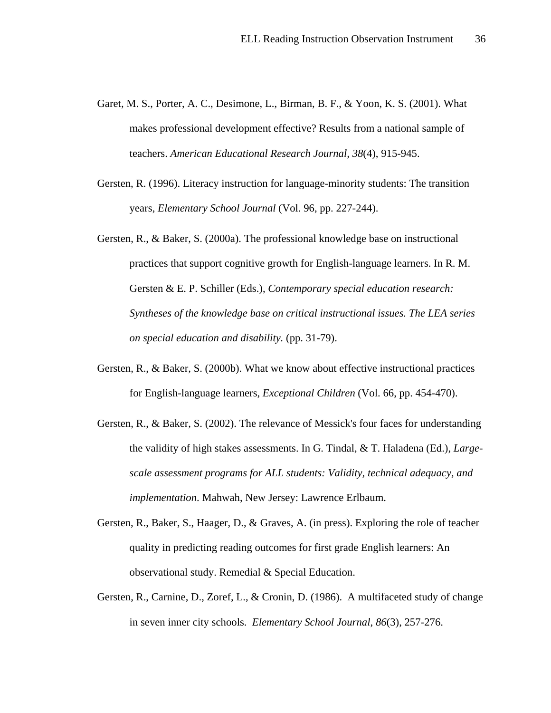- Garet, M. S., Porter, A. C., Desimone, L., Birman, B. F., & Yoon, K. S. (2001). What makes professional development effective? Results from a national sample of teachers. *American Educational Research Journal, 38*(4), 915-945.
- Gersten, R. (1996). Literacy instruction for language-minority students: The transition years, *Elementary School Journal* (Vol. 96, pp. 227-244).
- Gersten, R., & Baker, S. (2000a). The professional knowledge base on instructional practices that support cognitive growth for English-language learners. In R. M. Gersten & E. P. Schiller (Eds.), *Contemporary special education research: Syntheses of the knowledge base on critical instructional issues. The LEA series on special education and disability.* (pp. 31-79).
- Gersten, R., & Baker, S. (2000b). What we know about effective instructional practices for English-language learners, *Exceptional Children* (Vol. 66, pp. 454-470).
- Gersten, R., & Baker, S. (2002). The relevance of Messick's four faces for understanding the validity of high stakes assessments. In G. Tindal, & T. Haladena (Ed.), *Largescale assessment programs for ALL students: Validity, technical adequacy, and implementation*. Mahwah, New Jersey: Lawrence Erlbaum.
- Gersten, R., Baker, S., Haager, D., & Graves, A. (in press). Exploring the role of teacher quality in predicting reading outcomes for first grade English learners: An observational study. Remedial & Special Education.
- Gersten, R., Carnine, D., Zoref, L., & Cronin, D. (1986). A multifaceted study of change in seven inner city schools. *Elementary School Journal*, *86*(3), 257-276.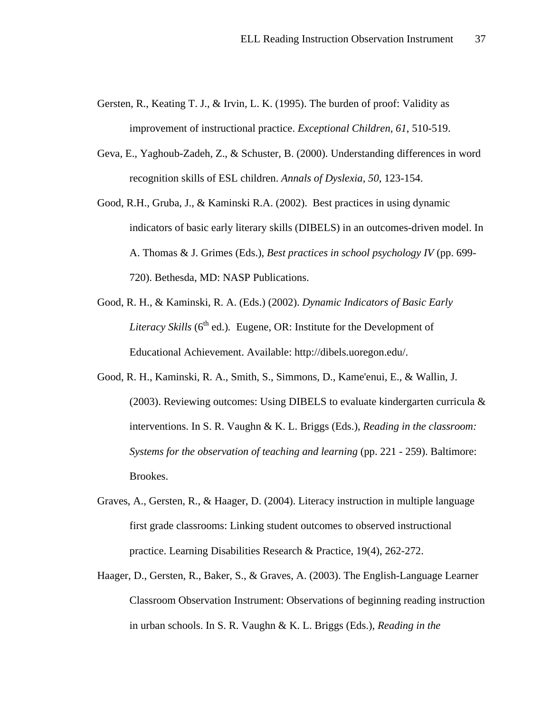- Gersten, R., Keating T. J., & Irvin, L. K. (1995). The burden of proof: Validity as improvement of instructional practice. *Exceptional Children, 61*, 510-519.
- Geva, E., Yaghoub-Zadeh, Z., & Schuster, B. (2000). Understanding differences in word recognition skills of ESL children. *Annals of Dyslexia, 50*, 123-154.
- Good, R.H., Gruba, J., & Kaminski R.A. (2002). Best practices in using dynamic indicators of basic early literary skills (DIBELS) in an outcomes-driven model. In A. Thomas & J. Grimes (Eds.), *Best practices in school psychology IV* (pp. 699- 720). Bethesda, MD: NASP Publications.
- Good, R. H., & Kaminski, R. A. (Eds.) (2002). *Dynamic Indicators of Basic Early Literacy Skills* ( $6<sup>th</sup>$  ed.). Eugene, OR: Institute for the Development of Educational Achievement. Available: http://dibels.uoregon.edu/.
- Good, R. H., Kaminski, R. A., Smith, S., Simmons, D., Kame'enui, E., & Wallin, J. (2003). Reviewing outcomes: Using DIBELS to evaluate kindergarten curricula & interventions. In S. R. Vaughn & K. L. Briggs (Eds.), *Reading in the classroom: Systems for the observation of teaching and learning (pp. 221 - 259). Baltimore:* Brookes.
- Graves, A., Gersten, R., & Haager, D. (2004). Literacy instruction in multiple language first grade classrooms: Linking student outcomes to observed instructional practice. Learning Disabilities Research & Practice, 19(4), 262-272.
- Haager, D., Gersten, R., Baker, S., & Graves, A. (2003). The English-Language Learner Classroom Observation Instrument: Observations of beginning reading instruction in urban schools. In S. R. Vaughn & K. L. Briggs (Eds.), *Reading in the*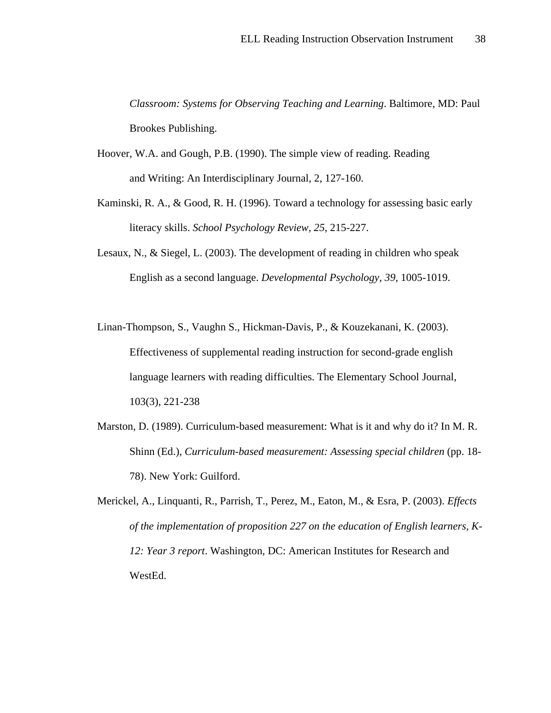*Classroom: Systems for Observing Teaching and Learning*. Baltimore, MD: Paul Brookes Publishing.

- Hoover, W.A. and Gough, P.B. (1990). The simple view of reading. Reading and Writing: An Interdisciplinary Journal, 2, 127-160.
- Kaminski, R. A., & Good, R. H. (1996). Toward a technology for assessing basic early literacy skills. *School Psychology Review, 25*, 215-227.
- Lesaux, N., & Siegel, L. (2003). The development of reading in children who speak English as a second language. *Developmental Psychology, 39*, 1005-1019.
- Linan-Thompson, S., Vaughn S., Hickman-Davis, P., & Kouzekanani, K. (2003). Effectiveness of supplemental reading instruction for second-grade english language learners with reading difficulties. The Elementary School Journal, 103(3), 221-238
- Marston, D. (1989). Curriculum-based measurement: What is it and why do it? In M. R. Shinn (Ed.), *Curriculum-based measurement: Assessing special children* (pp. 18- 78). New York: Guilford.
- Merickel, A., Linquanti, R., Parrish, T., Perez, M., Eaton, M., & Esra, P. (2003). *Effects of the implementation of proposition 227 on the education of English learners, K-12: Year 3 report*. Washington, DC: American Institutes for Research and WestEd.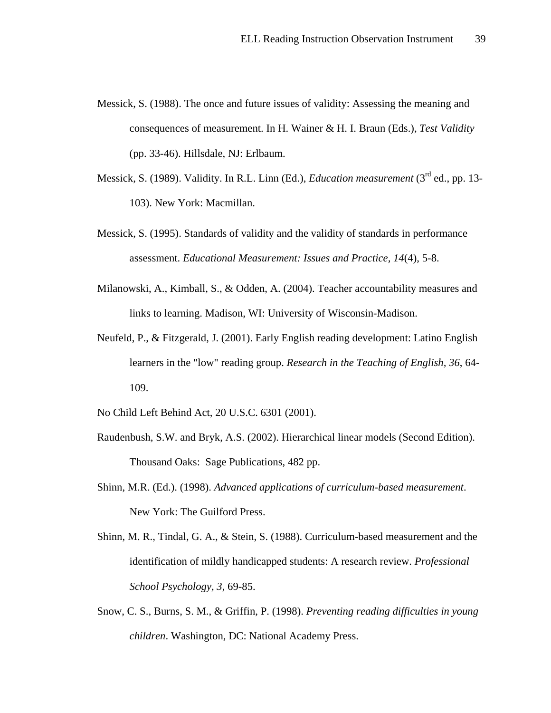- Messick, S. (1988). The once and future issues of validity: Assessing the meaning and consequences of measurement. In H. Wainer & H. I. Braun (Eds.), *Test Validity* (pp. 33-46). Hillsdale, NJ: Erlbaum.
- Messick, S. (1989). Validity. In R.L. Linn (Ed.), *Education measurement* (3<sup>rd</sup> ed., pp. 13-103). New York: Macmillan.
- Messick, S. (1995). Standards of validity and the validity of standards in performance assessment. *Educational Measurement: Issues and Practice, 14*(4), 5-8.
- Milanowski, A., Kimball, S., & Odden, A. (2004). Teacher accountability measures and links to learning. Madison, WI: University of Wisconsin-Madison.
- Neufeld, P., & Fitzgerald, J. (2001). Early English reading development: Latino English learners in the "low" reading group. *Research in the Teaching of English, 36*, 64- 109.
- No Child Left Behind Act, 20 U.S.C. 6301 (2001).
- Raudenbush, S.W. and Bryk, A.S. (2002). Hierarchical linear models (Second Edition). Thousand Oaks: Sage Publications, 482 pp.
- Shinn, M.R. (Ed.). (1998). *Advanced applications of curriculum-based measurement*. New York: The Guilford Press.
- Shinn, M. R., Tindal, G. A., & Stein, S. (1988). Curriculum-based measurement and the identification of mildly handicapped students: A research review. *Professional School Psychology, 3*, 69-85.
- Snow, C. S., Burns, S. M., & Griffin, P. (1998). *Preventing reading difficulties in young children*. Washington, DC: National Academy Press.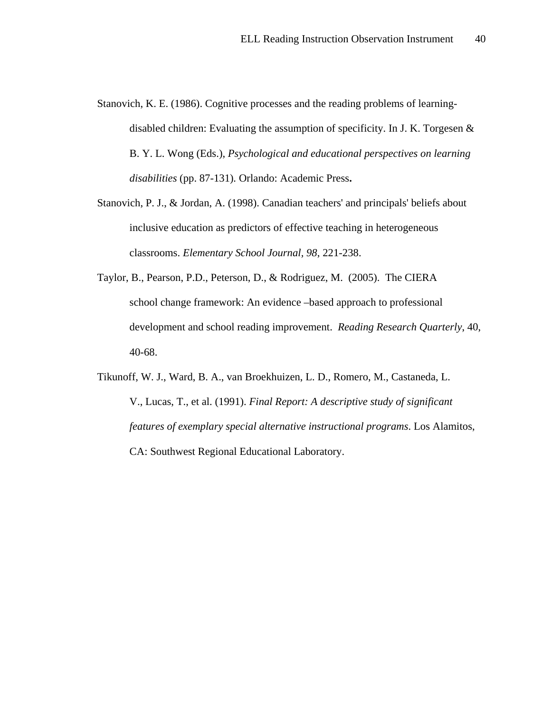- Stanovich, K. E. (1986). Cognitive processes and the reading problems of learningdisabled children: Evaluating the assumption of specificity. In J. K. Torgesen & B. Y. L. Wong (Eds.), *Psychological and educational perspectives on learning disabilities* (pp. 87-131)*.* Orlando: Academic Press**.**
- Stanovich, P. J., & Jordan, A. (1998). Canadian teachers' and principals' beliefs about inclusive education as predictors of effective teaching in heterogeneous classrooms. *Elementary School Journal, 98*, 221-238.
- Taylor, B., Pearson, P.D., Peterson, D., & Rodriguez, M. (2005). The CIERA school change framework: An evidence –based approach to professional development and school reading improvement. *Reading Research Quarterly*, 40, 40-68.
- Tikunoff, W. J., Ward, B. A., van Broekhuizen, L. D., Romero, M., Castaneda, L. V., Lucas, T., et al. (1991). *Final Report: A descriptive study of significant features of exemplary special alternative instructional programs*. Los Alamitos, CA: Southwest Regional Educational Laboratory.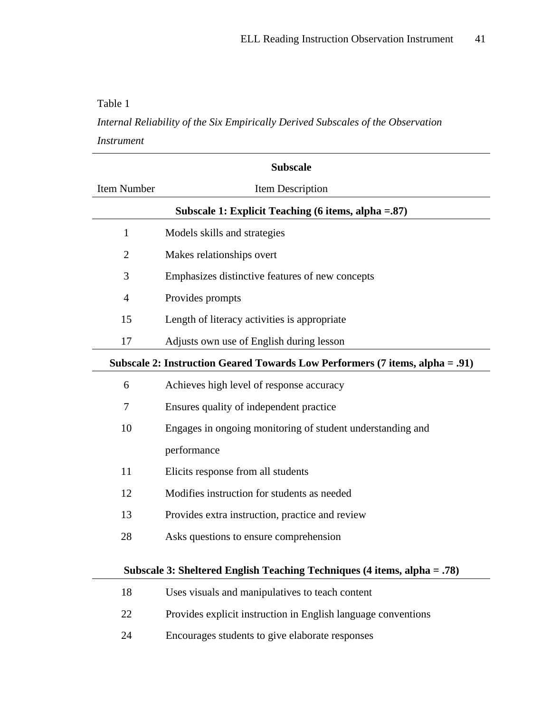*Internal Reliability of the Six Empirically Derived Subscales of the Observation* 

*Instrument* 

| <b>Subscale</b>                                                              |                                                                          |  |  |
|------------------------------------------------------------------------------|--------------------------------------------------------------------------|--|--|
| Item Number                                                                  | <b>Item Description</b>                                                  |  |  |
| Subscale 1: Explicit Teaching (6 items, alpha = .87)                         |                                                                          |  |  |
| 1                                                                            | Models skills and strategies                                             |  |  |
| $\overline{2}$                                                               | Makes relationships overt                                                |  |  |
| 3                                                                            | Emphasizes distinctive features of new concepts                          |  |  |
| $\overline{4}$                                                               | Provides prompts                                                         |  |  |
| 15                                                                           | Length of literacy activities is appropriate                             |  |  |
| 17                                                                           | Adjusts own use of English during lesson                                 |  |  |
| Subscale 2: Instruction Geared Towards Low Performers (7 items, alpha = .91) |                                                                          |  |  |
| 6                                                                            | Achieves high level of response accuracy                                 |  |  |
| 7                                                                            | Ensures quality of independent practice                                  |  |  |
| 10                                                                           | Engages in ongoing monitoring of student understanding and               |  |  |
|                                                                              | performance                                                              |  |  |
| 11                                                                           | Elicits response from all students                                       |  |  |
| 12                                                                           | Modifies instruction for students as needed                              |  |  |
| 13                                                                           | Provides extra instruction, practice and review                          |  |  |
| 28                                                                           | Asks questions to ensure comprehension                                   |  |  |
|                                                                              |                                                                          |  |  |
|                                                                              | Subscale 3: Sheltered English Teaching Techniques (4 items, alpha = .78) |  |  |
| 18                                                                           | Uses visuals and manipulatives to teach content                          |  |  |
| 22                                                                           | Provides explicit instruction in English language conventions            |  |  |

24 Encourages students to give elaborate responses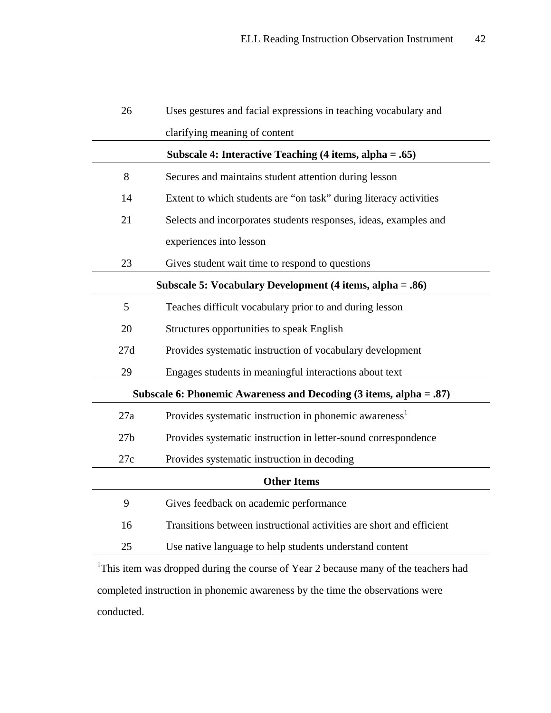| 26                                                        | Uses gestures and facial expressions in teaching vocabulary and      |  |  |
|-----------------------------------------------------------|----------------------------------------------------------------------|--|--|
|                                                           | clarifying meaning of content                                        |  |  |
|                                                           | Subscale 4: Interactive Teaching $(4$ items, alpha = .65)            |  |  |
| 8                                                         | Secures and maintains student attention during lesson                |  |  |
| 14                                                        | Extent to which students are "on task" during literacy activities    |  |  |
| 21                                                        | Selects and incorporates students responses, ideas, examples and     |  |  |
|                                                           | experiences into lesson                                              |  |  |
| 23                                                        | Gives student wait time to respond to questions                      |  |  |
| Subscale 5: Vocabulary Development (4 items, alpha = .86) |                                                                      |  |  |
| 5                                                         | Teaches difficult vocabulary prior to and during lesson              |  |  |
| 20                                                        | Structures opportunities to speak English                            |  |  |
| 27d                                                       | Provides systematic instruction of vocabulary development            |  |  |
| 29                                                        | Engages students in meaningful interactions about text               |  |  |
|                                                           | Subscale 6: Phonemic Awareness and Decoding (3 items, alpha = .87)   |  |  |
| 27a                                                       | Provides systematic instruction in phonemic awareness <sup>1</sup>   |  |  |
| 27 <sub>b</sub>                                           | Provides systematic instruction in letter-sound correspondence       |  |  |
| 27c                                                       | Provides systematic instruction in decoding                          |  |  |
| <b>Other Items</b>                                        |                                                                      |  |  |
| 9                                                         | Gives feedback on academic performance                               |  |  |
| 16                                                        | Transitions between instructional activities are short and efficient |  |  |
| 25                                                        | Use native language to help students understand content              |  |  |
|                                                           |                                                                      |  |  |

<sup>1</sup>This item was dropped during the course of Year 2 because many of the teachers had completed instruction in phonemic awareness by the time the observations were conducted.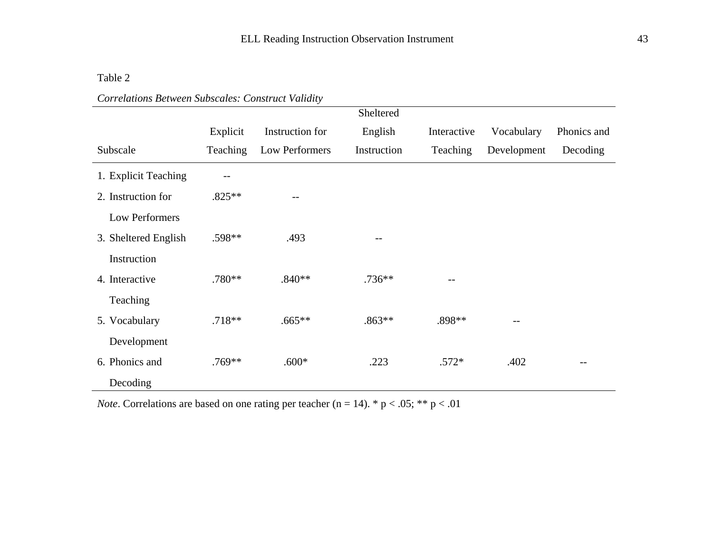*Correlations Between Subscales: Construct Validity*

|                      |          |                 | Sheltered         |             |             |             |
|----------------------|----------|-----------------|-------------------|-------------|-------------|-------------|
|                      | Explicit | Instruction for | English           | Interactive | Vocabulary  | Phonics and |
| Subscale             | Teaching | Low Performers  | Instruction       | Teaching    | Development | Decoding    |
| 1. Explicit Teaching |          |                 |                   |             |             |             |
| 2. Instruction for   | $.825**$ |                 |                   |             |             |             |
| Low Performers       |          |                 |                   |             |             |             |
| 3. Sheltered English | .598**   | .493            | $\qquad \qquad -$ |             |             |             |
| Instruction          |          |                 |                   |             |             |             |
| 4. Interactive       | .780**   | $.840**$        | $.736**$          | --          |             |             |
| Teaching             |          |                 |                   |             |             |             |
| 5. Vocabulary        | $.718**$ | $.665**$        | $.863**$          | .898**      | --          |             |
| Development          |          |                 |                   |             |             |             |
| 6. Phonics and       | $.769**$ | $.600*$         | .223              | $.572*$     | .402        |             |
| Decoding             |          |                 |                   |             |             |             |

*Note*. Correlations are based on one rating per teacher (n = 14). \* p < .05; \*\* p < .01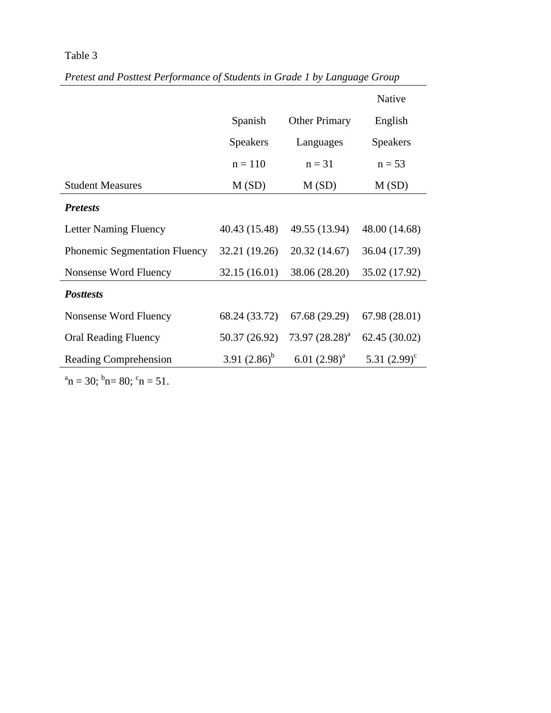|                                      |                 |                      | Native                |
|--------------------------------------|-----------------|----------------------|-----------------------|
|                                      | Spanish         | <b>Other Primary</b> | English               |
|                                      | <b>Speakers</b> | Languages            | <b>Speakers</b>       |
|                                      | $n = 110$       | $n = 31$             | $n = 53$              |
| <b>Student Measures</b>              | M(SD)           | M(SD)                | M(SD)                 |
| <b>Pretests</b>                      |                 |                      |                       |
| Letter Naming Fluency                | 40.43 (15.48)   | 49.55 (13.94)        | 48.00 (14.68)         |
| <b>Phonemic Segmentation Fluency</b> | 32.21 (19.26)   | 20.32 (14.67)        | 36.04 (17.39)         |
| Nonsense Word Fluency                | 32.15(16.01)    | 38.06 (28.20)        | 35.02 (17.92)         |
| <b>Posttests</b>                     |                 |                      |                       |
| Nonsense Word Fluency                | 68.24 (33.72)   | 67.68 (29.29)        | 67.98 (28.01)         |
| <b>Oral Reading Fluency</b>          | 50.37 (26.92)   | 73.97 $(28.28)^{a}$  | 62.45 (30.02)         |
| <b>Reading Comprehension</b>         | 3.91 $(2.86)^b$ | 6.01 $(2.98)^{a}$    | 5.31 $(2.99)^{\circ}$ |
|                                      |                 |                      |                       |

*Pretest and Posttest Performance of Students in Grade 1 by Language Group* 

 $a_n^a = 30$ ;  $b_n = 80$ ;  $c_n = 51$ .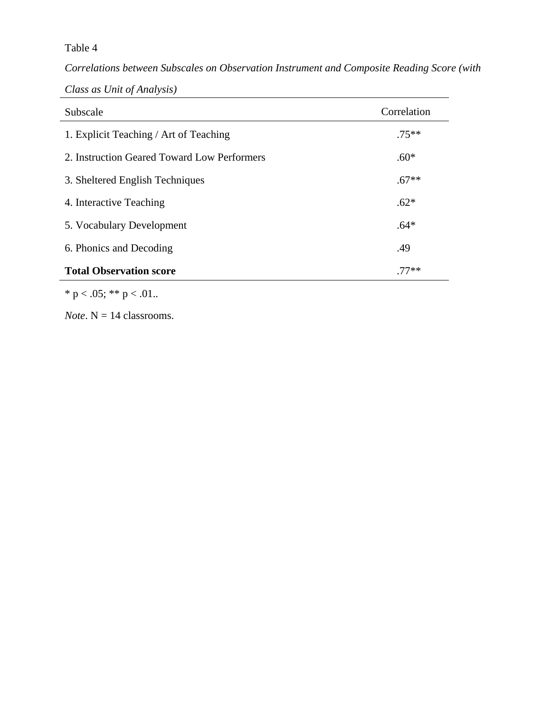*Correlations between Subscales on Observation Instrument and Composite Reading Score (with Class as Unit of Analysis)* 

| Subscale                                    | Correlation |
|---------------------------------------------|-------------|
| 1. Explicit Teaching / Art of Teaching      | $.75***$    |
| 2. Instruction Geared Toward Low Performers | $.60*$      |
| 3. Sheltered English Techniques             | $.67**$     |
| 4. Interactive Teaching                     | $.62*$      |
| 5. Vocabulary Development                   | $.64*$      |
| 6. Phonics and Decoding                     | .49         |
| <b>Total Observation score</b>              | $.77**$     |

\* p < .05; \*\* p < .01..

*Note*. N = 14 classrooms.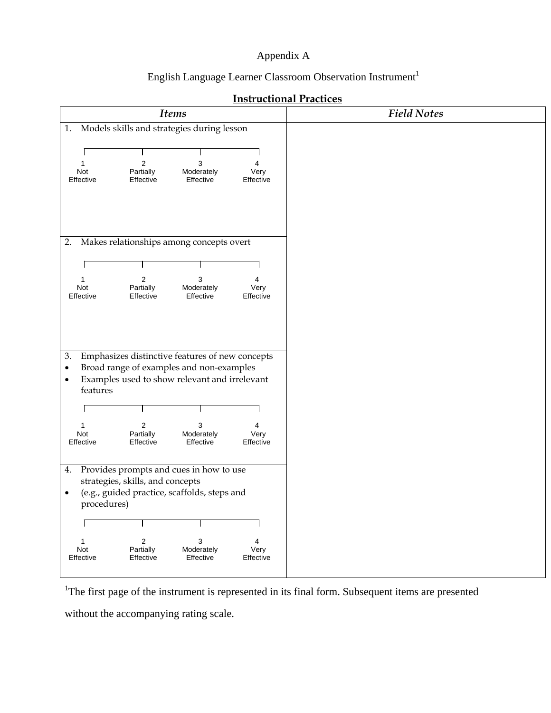# Appendix A

# English Language Learner Classroom Observation Instrument $^{\rm l}$

| 1115u actional 1 factices                                                                                                                                                                |                    |  |  |  |
|------------------------------------------------------------------------------------------------------------------------------------------------------------------------------------------|--------------------|--|--|--|
| <b>Items</b>                                                                                                                                                                             | <b>Field Notes</b> |  |  |  |
| Models skills and strategies during lesson<br>1.                                                                                                                                         |                    |  |  |  |
| 2<br>3<br>Not<br>Partially<br>Moderately<br>Very<br>Effective<br>Effective<br>Effective<br>Effective                                                                                     |                    |  |  |  |
| Makes relationships among concepts overt<br>2.                                                                                                                                           |                    |  |  |  |
| 2<br>3<br>Not<br>Partially<br>Moderately<br>Very<br>Effective<br>Effective<br>Effective<br>Effective                                                                                     |                    |  |  |  |
| Emphasizes distinctive features of new concepts<br>3.<br>Broad range of examples and non-examples<br>$\bullet$<br>Examples used to show relevant and irrelevant<br>$\bullet$<br>features |                    |  |  |  |
|                                                                                                                                                                                          |                    |  |  |  |
| 2<br>3<br>Not<br>Partially<br>Moderately<br>Very<br>Effective<br>Effective<br>Effective<br>Effective                                                                                     |                    |  |  |  |
| Provides prompts and cues in how to use<br>4.<br>strategies, skills, and concepts<br>(e.g., guided practice, scaffolds, steps and<br>$\bullet$<br>procedures)                            |                    |  |  |  |
|                                                                                                                                                                                          |                    |  |  |  |
| $\overline{2}$<br>3<br>$\mathbf{1}$<br>4<br>Not<br>Partially<br>Moderately<br>Very<br>Effective<br>Effective<br>Effective<br>Effective                                                   |                    |  |  |  |

# **Instructional Practices**

<sup>1</sup>The first page of the instrument is represented in its final form. Subsequent items are presented without the accompanying rating scale.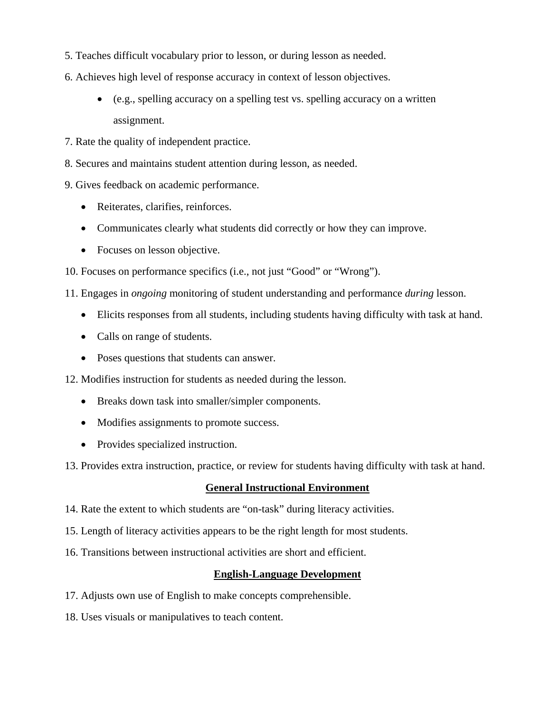- 5. Teaches difficult vocabulary prior to lesson, or during lesson as needed.
- 6. Achieves high level of response accuracy in context of lesson objectives.
	- (e.g., spelling accuracy on a spelling test vs. spelling accuracy on a written assignment.
- 7. Rate the quality of independent practice.
- 8. Secures and maintains student attention during lesson, as needed.
- 9. Gives feedback on academic performance.
	- Reiterates, clarifies, reinforces.
	- Communicates clearly what students did correctly or how they can improve.
	- Focuses on lesson objective.
- 10. Focuses on performance specifics (i.e., not just "Good" or "Wrong").
- 11. Engages in *ongoing* monitoring of student understanding and performance *during* lesson.
	- Elicits responses from all students, including students having difficulty with task at hand.
	- Calls on range of students.
	- Poses questions that students can answer.

12. Modifies instruction for students as needed during the lesson.

- Breaks down task into smaller/simpler components.
- Modifies assignments to promote success.
- Provides specialized instruction.

13. Provides extra instruction, practice, or review for students having difficulty with task at hand.

# **General Instructional Environment**

- 14. Rate the extent to which students are "on-task" during literacy activities.
- 15. Length of literacy activities appears to be the right length for most students.
- 16. Transitions between instructional activities are short and efficient.

# **English-Language Development**

- 17. Adjusts own use of English to make concepts comprehensible.
- 18. Uses visuals or manipulatives to teach content.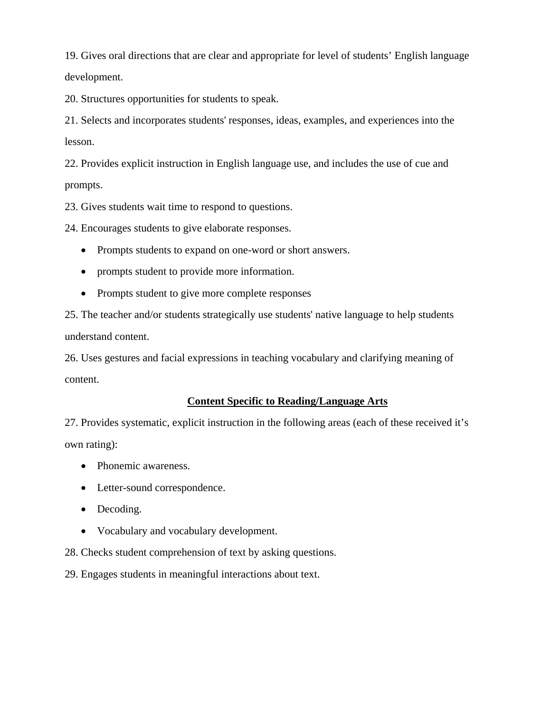19. Gives oral directions that are clear and appropriate for level of students' English language development.

20. Structures opportunities for students to speak.

21. Selects and incorporates students' responses, ideas, examples, and experiences into the lesson.

22. Provides explicit instruction in English language use, and includes the use of cue and prompts.

23. Gives students wait time to respond to questions.

24. Encourages students to give elaborate responses.

- Prompts students to expand on one-word or short answers.
- prompts student to provide more information.
- Prompts student to give more complete responses

25. The teacher and/or students strategically use students' native language to help students understand content.

26. Uses gestures and facial expressions in teaching vocabulary and clarifying meaning of content.

# **Content Specific to Reading/Language Arts**

27. Provides systematic, explicit instruction in the following areas (each of these received it's own rating):

- Phonemic awareness.
- Letter-sound correspondence.
- Decoding.
- Vocabulary and vocabulary development.

28. Checks student comprehension of text by asking questions.

29. Engages students in meaningful interactions about text.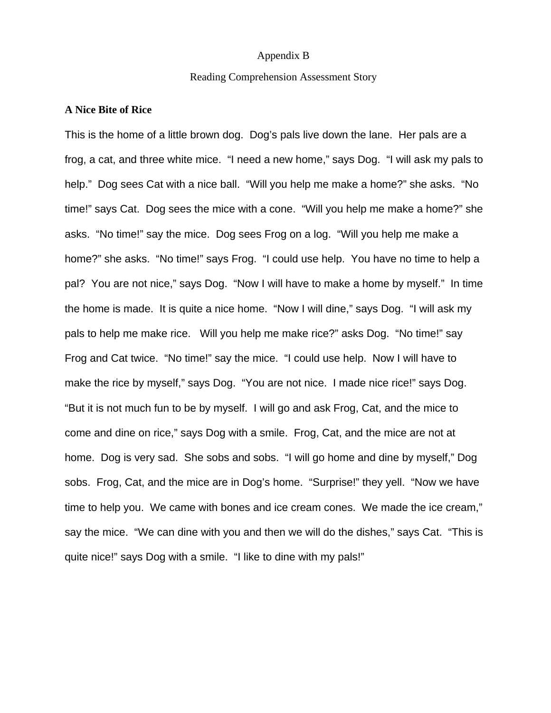#### Appendix B

#### Reading Comprehension Assessment Story

#### **A Nice Bite of Rice**

This is the home of a little brown dog. Dog's pals live down the lane. Her pals are a frog, a cat, and three white mice. "I need a new home," says Dog. "I will ask my pals to help." Dog sees Cat with a nice ball. "Will you help me make a home?" she asks. "No time!" says Cat. Dog sees the mice with a cone. "Will you help me make a home?" she asks. "No time!" say the mice. Dog sees Frog on a log. "Will you help me make a home?" she asks. "No time!" says Frog. "I could use help. You have no time to help a pal? You are not nice," says Dog. "Now I will have to make a home by myself." In time the home is made. It is quite a nice home. "Now I will dine," says Dog. "I will ask my pals to help me make rice. Will you help me make rice?" asks Dog. "No time!" say Frog and Cat twice. "No time!" say the mice. "I could use help. Now I will have to make the rice by myself," says Dog. "You are not nice. I made nice rice!" says Dog. "But it is not much fun to be by myself. I will go and ask Frog, Cat, and the mice to come and dine on rice," says Dog with a smile. Frog, Cat, and the mice are not at home. Dog is very sad. She sobs and sobs. "I will go home and dine by myself," Dog sobs. Frog, Cat, and the mice are in Dog's home. "Surprise!" they yell. "Now we have time to help you. We came with bones and ice cream cones. We made the ice cream," say the mice. "We can dine with you and then we will do the dishes," says Cat. "This is quite nice!" says Dog with a smile. "I like to dine with my pals!"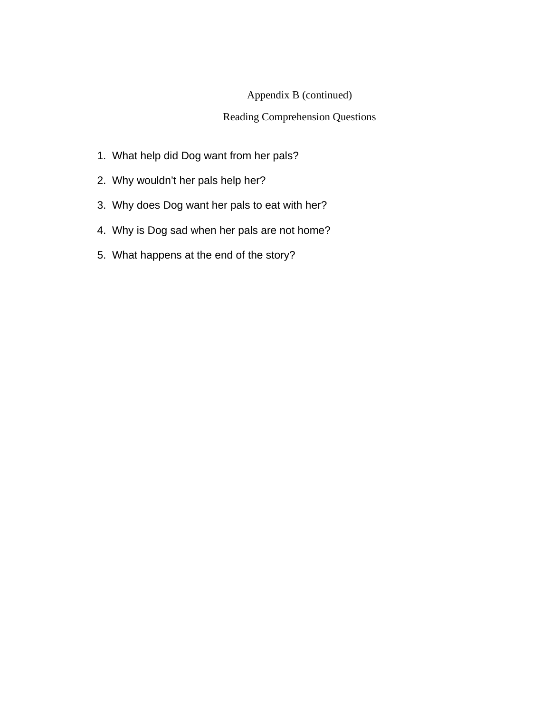# Appendix B (continued)

# Reading Comprehension Questions

- 1. What help did Dog want from her pals?
- 2. Why wouldn't her pals help her?
- 3. Why does Dog want her pals to eat with her?
- 4. Why is Dog sad when her pals are not home?
- 5. What happens at the end of the story?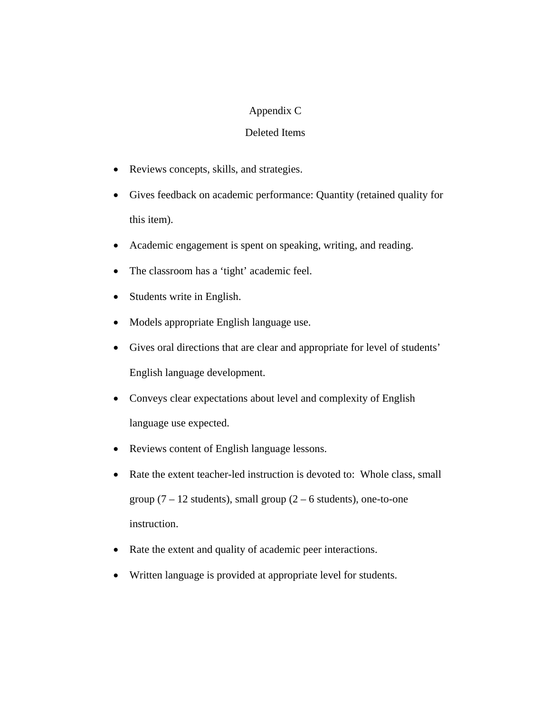# Appendix C

# Deleted Items

- Reviews concepts, skills, and strategies.
- Gives feedback on academic performance: Quantity (retained quality for this item).
- Academic engagement is spent on speaking, writing, and reading.
- The classroom has a 'tight' academic feel.
- Students write in English.
- Models appropriate English language use.
- Gives oral directions that are clear and appropriate for level of students' English language development.
- Conveys clear expectations about level and complexity of English language use expected.
- Reviews content of English language lessons.
- Rate the extent teacher-led instruction is devoted to: Whole class, small group  $(7 – 12$  students), small group  $(2 – 6$  students), one-to-one instruction.
- Rate the extent and quality of academic peer interactions.
- Written language is provided at appropriate level for students.